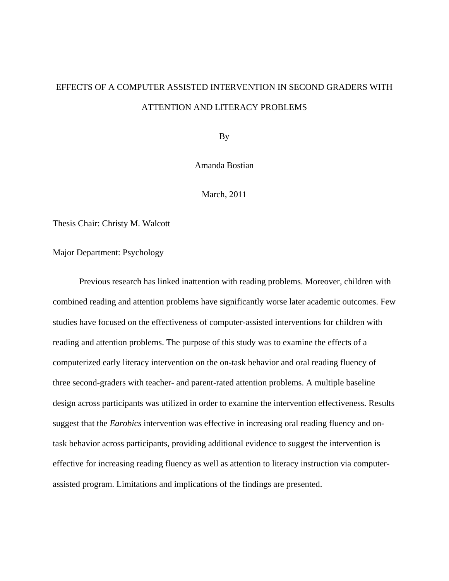# EFFECTS OF A COMPUTER ASSISTED INTERVENTION IN SECOND GRADERS WITH ATTENTION AND LITERACY PROBLEMS

By

Amanda Bostian

March, 2011

Thesis Chair: Christy M. Walcott

Major Department: Psychology

 Previous research has linked inattention with reading problems. Moreover, children with combined reading and attention problems have significantly worse later academic outcomes. Few studies have focused on the effectiveness of computer-assisted interventions for children with reading and attention problems. The purpose of this study was to examine the effects of a computerized early literacy intervention on the on-task behavior and oral reading fluency of three second-graders with teacher- and parent-rated attention problems. A multiple baseline design across participants was utilized in order to examine the intervention effectiveness. Results suggest that the *Earobics* intervention was effective in increasing oral reading fluency and ontask behavior across participants, providing additional evidence to suggest the intervention is effective for increasing reading fluency as well as attention to literacy instruction via computerassisted program. Limitations and implications of the findings are presented.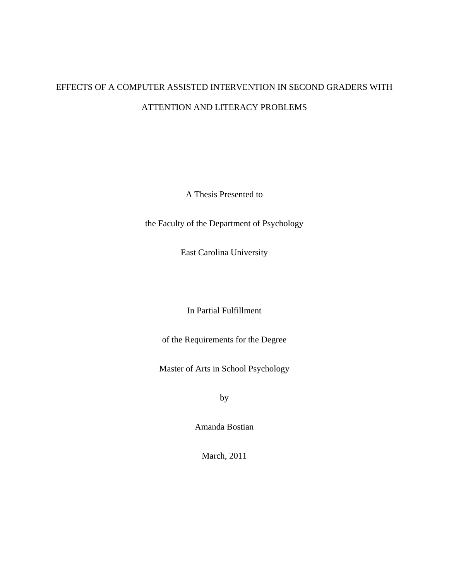# EFFECTS OF A COMPUTER ASSISTED INTERVENTION IN SECOND GRADERS WITH ATTENTION AND LITERACY PROBLEMS

A Thesis Presented to

the Faculty of the Department of Psychology

East Carolina University

In Partial Fulfillment

of the Requirements for the Degree

Master of Arts in School Psychology

by

Amanda Bostian

March, 2011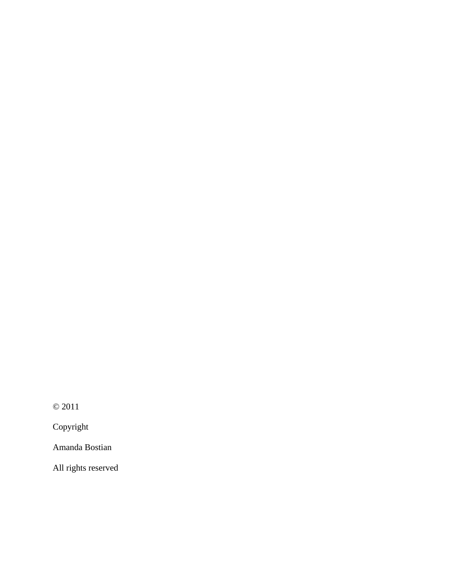© 2011

Copyright

Amanda Bostian

All rights reserved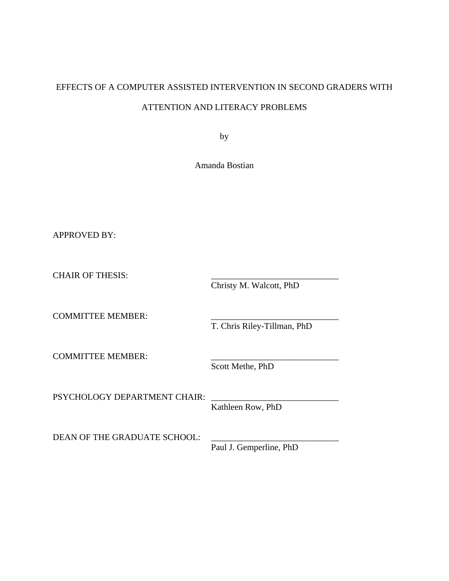# EFFECTS OF A COMPUTER ASSISTED INTERVENTION IN SECOND GRADERS WITH ATTENTION AND LITERACY PROBLEMS

by

Amanda Bostian

APPROVED BY:

CHAIR OF THESIS:

Christy M. Walcott, PhD

COMMITTEE MEMBER:

T. Chris Riley-Tillman, PhD

COMMITTEE MEMBER:

Scott Methe, PhD

PSYCHOLOGY DEPARTMENT CHAIR:

Kathleen Row, PhD

DEAN OF THE GRADUATE SCHOOL:

Paul J. Gemperline, PhD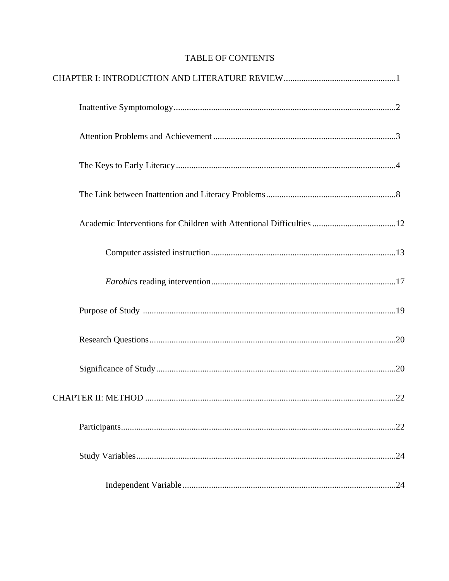# TABLE OF CONTENTS

| Academic Interventions for Children with Attentional Difficulties 12 |
|----------------------------------------------------------------------|
|                                                                      |
|                                                                      |
|                                                                      |
|                                                                      |
|                                                                      |
|                                                                      |
| .22                                                                  |
| .24                                                                  |
|                                                                      |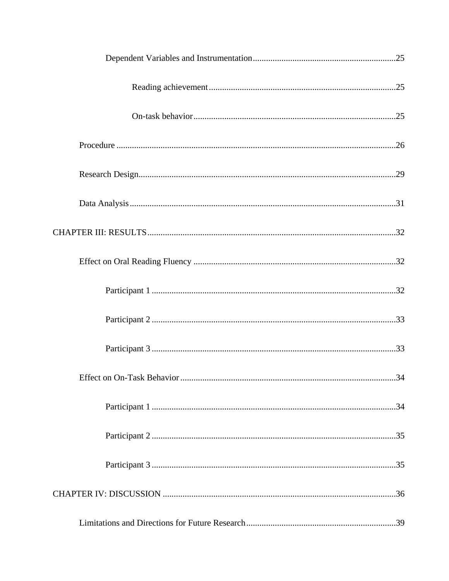| Effect on On-Task Behavior | .34 |
|----------------------------|-----|
|                            |     |
|                            |     |
|                            |     |
|                            |     |
|                            |     |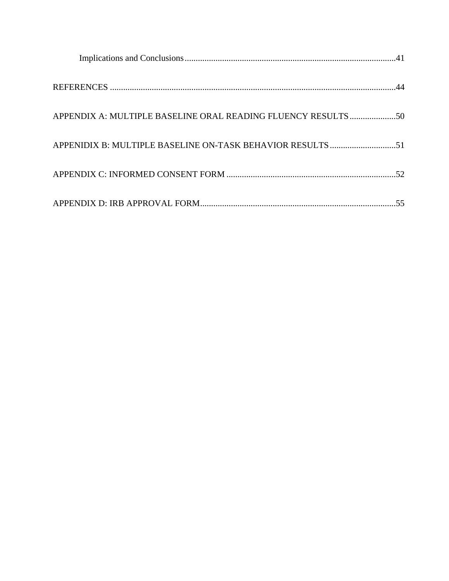| APPENDIX A: MULTIPLE BASELINE ORAL READING FLUENCY RESULTS 50 |
|---------------------------------------------------------------|
|                                                               |
|                                                               |
|                                                               |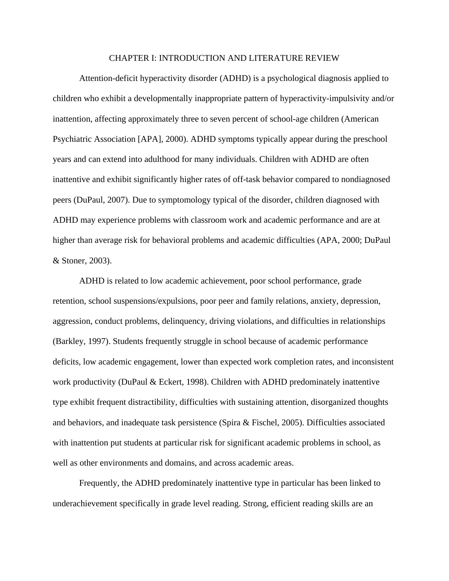#### CHAPTER I: INTRODUCTION AND LITERATURE REVIEW

Attention-deficit hyperactivity disorder (ADHD) is a psychological diagnosis applied to children who exhibit a developmentally inappropriate pattern of hyperactivity-impulsivity and/or inattention, affecting approximately three to seven percent of school-age children (American Psychiatric Association [APA], 2000). ADHD symptoms typically appear during the preschool years and can extend into adulthood for many individuals. Children with ADHD are often inattentive and exhibit significantly higher rates of off-task behavior compared to nondiagnosed peers (DuPaul, 2007). Due to symptomology typical of the disorder, children diagnosed with ADHD may experience problems with classroom work and academic performance and are at higher than average risk for behavioral problems and academic difficulties (APA, 2000; DuPaul & Stoner, 2003).

ADHD is related to low academic achievement, poor school performance, grade retention, school suspensions/expulsions, poor peer and family relations, anxiety, depression, aggression, conduct problems, delinquency, driving violations, and difficulties in relationships (Barkley, 1997). Students frequently struggle in school because of academic performance deficits, low academic engagement, lower than expected work completion rates, and inconsistent work productivity (DuPaul & Eckert, 1998). Children with ADHD predominately inattentive type exhibit frequent distractibility, difficulties with sustaining attention, disorganized thoughts and behaviors, and inadequate task persistence (Spira & Fischel, 2005). Difficulties associated with inattention put students at particular risk for significant academic problems in school, as well as other environments and domains, and across academic areas.

Frequently, the ADHD predominately inattentive type in particular has been linked to underachievement specifically in grade level reading. Strong, efficient reading skills are an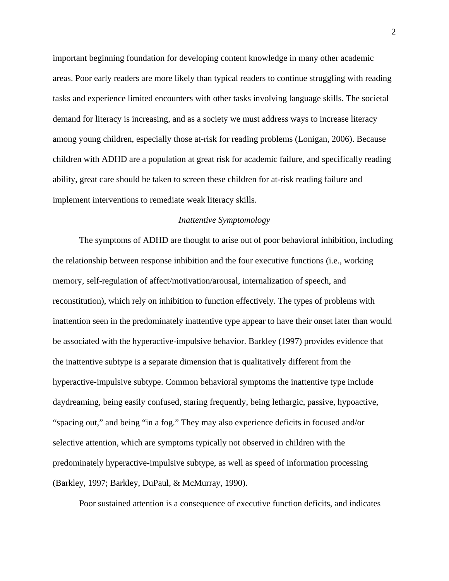important beginning foundation for developing content knowledge in many other academic areas. Poor early readers are more likely than typical readers to continue struggling with reading tasks and experience limited encounters with other tasks involving language skills. The societal demand for literacy is increasing, and as a society we must address ways to increase literacy among young children, especially those at-risk for reading problems (Lonigan, 2006). Because children with ADHD are a population at great risk for academic failure, and specifically reading ability, great care should be taken to screen these children for at-risk reading failure and implement interventions to remediate weak literacy skills.

#### *Inattentive Symptomology*

The symptoms of ADHD are thought to arise out of poor behavioral inhibition, including the relationship between response inhibition and the four executive functions (i.e., working memory, self-regulation of affect/motivation/arousal, internalization of speech, and reconstitution), which rely on inhibition to function effectively. The types of problems with inattention seen in the predominately inattentive type appear to have their onset later than would be associated with the hyperactive-impulsive behavior. Barkley (1997) provides evidence that the inattentive subtype is a separate dimension that is qualitatively different from the hyperactive-impulsive subtype. Common behavioral symptoms the inattentive type include daydreaming, being easily confused, staring frequently, being lethargic, passive, hypoactive, "spacing out," and being "in a fog." They may also experience deficits in focused and/or selective attention, which are symptoms typically not observed in children with the predominately hyperactive-impulsive subtype, as well as speed of information processing (Barkley, 1997; Barkley, DuPaul, & McMurray, 1990).

Poor sustained attention is a consequence of executive function deficits, and indicates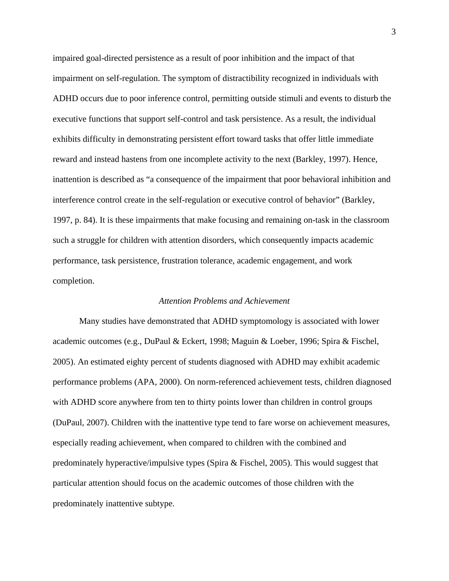impaired goal-directed persistence as a result of poor inhibition and the impact of that impairment on self-regulation. The symptom of distractibility recognized in individuals with ADHD occurs due to poor inference control, permitting outside stimuli and events to disturb the executive functions that support self-control and task persistence. As a result, the individual exhibits difficulty in demonstrating persistent effort toward tasks that offer little immediate reward and instead hastens from one incomplete activity to the next (Barkley, 1997). Hence, inattention is described as "a consequence of the impairment that poor behavioral inhibition and interference control create in the self-regulation or executive control of behavior" (Barkley, 1997, p. 84). It is these impairments that make focusing and remaining on-task in the classroom such a struggle for children with attention disorders, which consequently impacts academic performance, task persistence, frustration tolerance, academic engagement, and work completion.

#### *Attention Problems and Achievement*

Many studies have demonstrated that ADHD symptomology is associated with lower academic outcomes (e.g., DuPaul & Eckert, 1998; Maguin & Loeber, 1996; Spira & Fischel, 2005). An estimated eighty percent of students diagnosed with ADHD may exhibit academic performance problems (APA, 2000). On norm-referenced achievement tests, children diagnosed with ADHD score anywhere from ten to thirty points lower than children in control groups (DuPaul, 2007). Children with the inattentive type tend to fare worse on achievement measures, especially reading achievement, when compared to children with the combined and predominately hyperactive/impulsive types (Spira & Fischel, 2005). This would suggest that particular attention should focus on the academic outcomes of those children with the predominately inattentive subtype.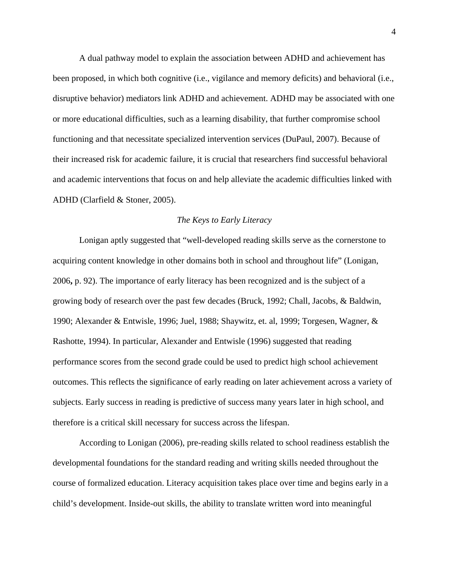A dual pathway model to explain the association between ADHD and achievement has been proposed, in which both cognitive (i.e., vigilance and memory deficits) and behavioral (i.e., disruptive behavior) mediators link ADHD and achievement. ADHD may be associated with one or more educational difficulties, such as a learning disability, that further compromise school functioning and that necessitate specialized intervention services (DuPaul, 2007). Because of their increased risk for academic failure, it is crucial that researchers find successful behavioral and academic interventions that focus on and help alleviate the academic difficulties linked with ADHD (Clarfield & Stoner, 2005).

#### *The Keys to Early Literacy*

Lonigan aptly suggested that "well-developed reading skills serve as the cornerstone to acquiring content knowledge in other domains both in school and throughout life" (Lonigan, 2006**,** p. 92). The importance of early literacy has been recognized and is the subject of a growing body of research over the past few decades (Bruck, 1992; Chall, Jacobs, & Baldwin, 1990; Alexander & Entwisle, 1996; Juel, 1988; Shaywitz, et. al, 1999; Torgesen, Wagner, & Rashotte, 1994). In particular, Alexander and Entwisle (1996) suggested that reading performance scores from the second grade could be used to predict high school achievement outcomes. This reflects the significance of early reading on later achievement across a variety of subjects. Early success in reading is predictive of success many years later in high school, and therefore is a critical skill necessary for success across the lifespan.

According to Lonigan (2006), pre-reading skills related to school readiness establish the developmental foundations for the standard reading and writing skills needed throughout the course of formalized education. Literacy acquisition takes place over time and begins early in a child's development. Inside-out skills, the ability to translate written word into meaningful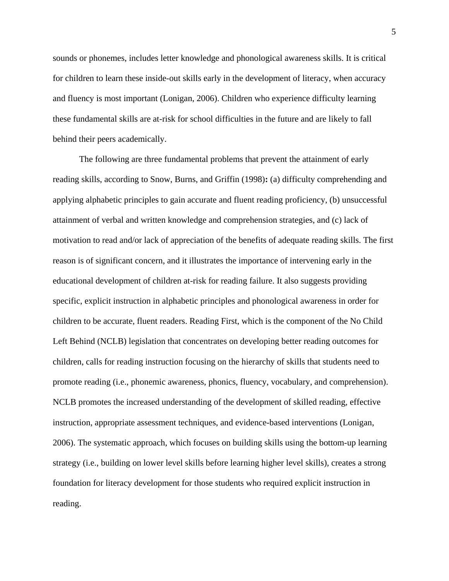sounds or phonemes, includes letter knowledge and phonological awareness skills. It is critical for children to learn these inside-out skills early in the development of literacy, when accuracy and fluency is most important (Lonigan, 2006). Children who experience difficulty learning these fundamental skills are at-risk for school difficulties in the future and are likely to fall behind their peers academically.

The following are three fundamental problems that prevent the attainment of early reading skills, according to Snow, Burns, and Griffin (1998)**:** (a) difficulty comprehending and applying alphabetic principles to gain accurate and fluent reading proficiency, (b) unsuccessful attainment of verbal and written knowledge and comprehension strategies, and (c) lack of motivation to read and/or lack of appreciation of the benefits of adequate reading skills. The first reason is of significant concern, and it illustrates the importance of intervening early in the educational development of children at-risk for reading failure. It also suggests providing specific, explicit instruction in alphabetic principles and phonological awareness in order for children to be accurate, fluent readers. Reading First, which is the component of the No Child Left Behind (NCLB) legislation that concentrates on developing better reading outcomes for children, calls for reading instruction focusing on the hierarchy of skills that students need to promote reading (i.e., phonemic awareness, phonics, fluency, vocabulary, and comprehension). NCLB promotes the increased understanding of the development of skilled reading, effective instruction, appropriate assessment techniques, and evidence-based interventions (Lonigan, 2006). The systematic approach, which focuses on building skills using the bottom-up learning strategy (i.e., building on lower level skills before learning higher level skills), creates a strong foundation for literacy development for those students who required explicit instruction in reading.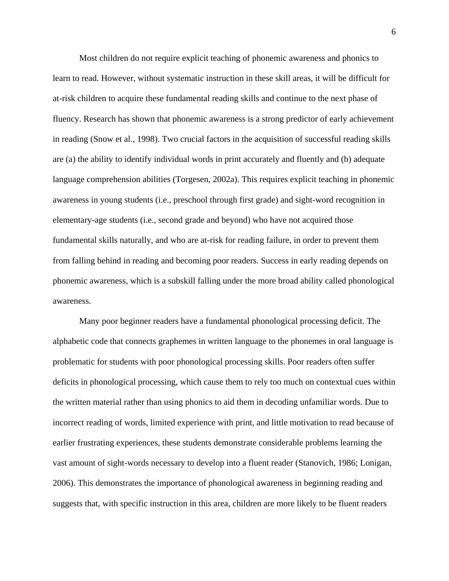Most children do not require explicit teaching of phonemic awareness and phonics to learn to read. However, without systematic instruction in these skill areas, it will be difficult for at-risk children to acquire these fundamental reading skills and continue to the next phase of fluency. Research has shown that phonemic awareness is a strong predictor of early achievement in reading (Snow et al., 1998). Two crucial factors in the acquisition of successful reading skills are (a) the ability to identify individual words in print accurately and fluently and (b) adequate language comprehension abilities (Torgesen, 2002a). This requires explicit teaching in phonemic awareness in young students (i.e., preschool through first grade) and sight-word recognition in elementary-age students (i.e., second grade and beyond) who have not acquired those fundamental skills naturally, and who are at-risk for reading failure, in order to prevent them from falling behind in reading and becoming poor readers. Success in early reading depends on phonemic awareness, which is a subskill falling under the more broad ability called phonological awareness.

Many poor beginner readers have a fundamental phonological processing deficit. The alphabetic code that connects graphemes in written language to the phonemes in oral language is problematic for students with poor phonological processing skills. Poor readers often suffer deficits in phonological processing, which cause them to rely too much on contextual cues within the written material rather than using phonics to aid them in decoding unfamiliar words. Due to incorrect reading of words, limited experience with print, and little motivation to read because of earlier frustrating experiences, these students demonstrate considerable problems learning the vast amount of sight-words necessary to develop into a fluent reader (Stanovich, 1986; Lonigan, 2006). This demonstrates the importance of phonological awareness in beginning reading and suggests that, with specific instruction in this area, children are more likely to be fluent readers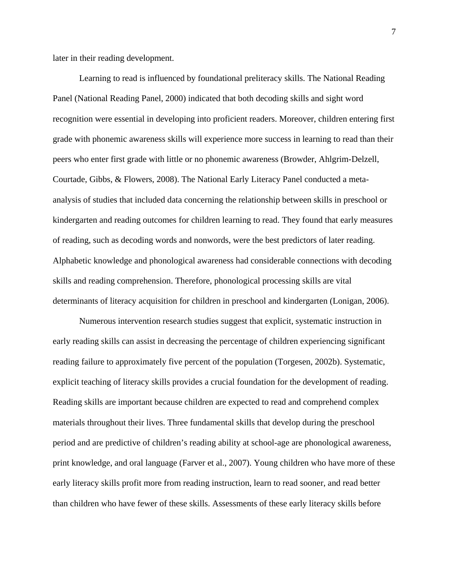later in their reading development.

Learning to read is influenced by foundational preliteracy skills. The National Reading Panel (National Reading Panel, 2000) indicated that both decoding skills and sight word recognition were essential in developing into proficient readers. Moreover, children entering first grade with phonemic awareness skills will experience more success in learning to read than their peers who enter first grade with little or no phonemic awareness (Browder, Ahlgrim-Delzell, Courtade, Gibbs, & Flowers, 2008). The National Early Literacy Panel conducted a metaanalysis of studies that included data concerning the relationship between skills in preschool or kindergarten and reading outcomes for children learning to read. They found that early measures of reading, such as decoding words and nonwords, were the best predictors of later reading. Alphabetic knowledge and phonological awareness had considerable connections with decoding skills and reading comprehension. Therefore, phonological processing skills are vital determinants of literacy acquisition for children in preschool and kindergarten (Lonigan, 2006).

Numerous intervention research studies suggest that explicit, systematic instruction in early reading skills can assist in decreasing the percentage of children experiencing significant reading failure to approximately five percent of the population (Torgesen, 2002b). Systematic, explicit teaching of literacy skills provides a crucial foundation for the development of reading. Reading skills are important because children are expected to read and comprehend complex materials throughout their lives. Three fundamental skills that develop during the preschool period and are predictive of children's reading ability at school-age are phonological awareness, print knowledge, and oral language (Farver et al., 2007). Young children who have more of these early literacy skills profit more from reading instruction, learn to read sooner, and read better than children who have fewer of these skills. Assessments of these early literacy skills before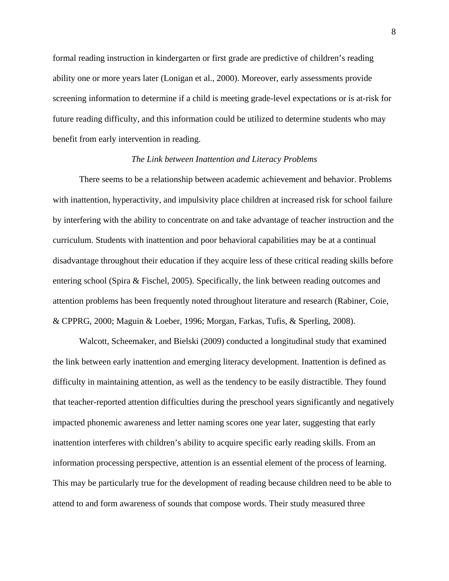formal reading instruction in kindergarten or first grade are predictive of children's reading ability one or more years later (Lonigan et al., 2000). Moreover, early assessments provide screening information to determine if a child is meeting grade-level expectations or is at-risk for future reading difficulty, and this information could be utilized to determine students who may benefit from early intervention in reading.

#### *The Link between Inattention and Literacy Problems*

There seems to be a relationship between academic achievement and behavior. Problems with inattention, hyperactivity, and impulsivity place children at increased risk for school failure by interfering with the ability to concentrate on and take advantage of teacher instruction and the curriculum. Students with inattention and poor behavioral capabilities may be at a continual disadvantage throughout their education if they acquire less of these critical reading skills before entering school (Spira & Fischel, 2005). Specifically, the link between reading outcomes and attention problems has been frequently noted throughout literature and research (Rabiner, Coie, & CPPRG, 2000; Maguin & Loeber, 1996; Morgan, Farkas, Tufis, & Sperling, 2008).

Walcott, Scheemaker, and Bielski (2009) conducted a longitudinal study that examined the link between early inattention and emerging literacy development. Inattention is defined as difficulty in maintaining attention, as well as the tendency to be easily distractible. They found that teacher-reported attention difficulties during the preschool years significantly and negatively impacted phonemic awareness and letter naming scores one year later, suggesting that early inattention interferes with children's ability to acquire specific early reading skills. From an information processing perspective, attention is an essential element of the process of learning. This may be particularly true for the development of reading because children need to be able to attend to and form awareness of sounds that compose words. Their study measured three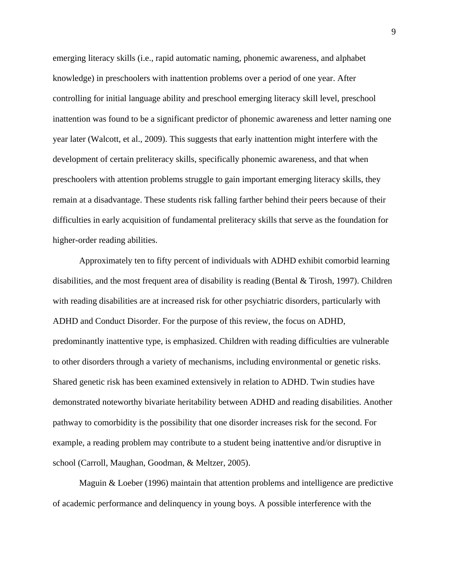emerging literacy skills (i.e., rapid automatic naming, phonemic awareness, and alphabet knowledge) in preschoolers with inattention problems over a period of one year. After controlling for initial language ability and preschool emerging literacy skill level, preschool inattention was found to be a significant predictor of phonemic awareness and letter naming one year later (Walcott, et al., 2009). This suggests that early inattention might interfere with the development of certain preliteracy skills, specifically phonemic awareness, and that when preschoolers with attention problems struggle to gain important emerging literacy skills, they remain at a disadvantage. These students risk falling farther behind their peers because of their difficulties in early acquisition of fundamental preliteracy skills that serve as the foundation for higher-order reading abilities.

Approximately ten to fifty percent of individuals with ADHD exhibit comorbid learning disabilities, and the most frequent area of disability is reading (Bental & Tirosh, 1997). Children with reading disabilities are at increased risk for other psychiatric disorders, particularly with ADHD and Conduct Disorder. For the purpose of this review, the focus on ADHD, predominantly inattentive type, is emphasized. Children with reading difficulties are vulnerable to other disorders through a variety of mechanisms, including environmental or genetic risks. Shared genetic risk has been examined extensively in relation to ADHD. Twin studies have demonstrated noteworthy bivariate heritability between ADHD and reading disabilities. Another pathway to comorbidity is the possibility that one disorder increases risk for the second. For example, a reading problem may contribute to a student being inattentive and/or disruptive in school (Carroll, Maughan, Goodman, & Meltzer, 2005).

Maguin & Loeber (1996) maintain that attention problems and intelligence are predictive of academic performance and delinquency in young boys. A possible interference with the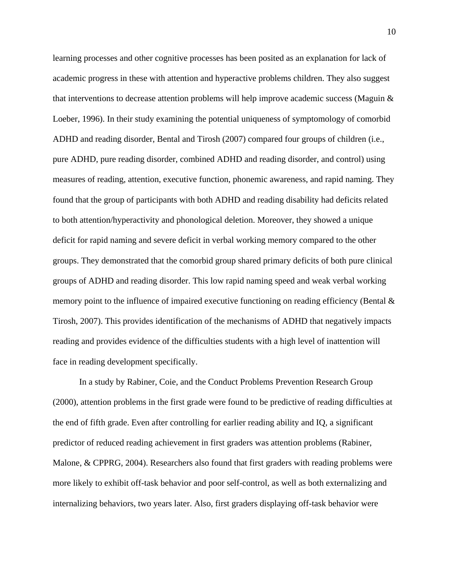learning processes and other cognitive processes has been posited as an explanation for lack of academic progress in these with attention and hyperactive problems children. They also suggest that interventions to decrease attention problems will help improve academic success (Maguin & Loeber, 1996). In their study examining the potential uniqueness of symptomology of comorbid ADHD and reading disorder, Bental and Tirosh (2007) compared four groups of children (i.e., pure ADHD, pure reading disorder, combined ADHD and reading disorder, and control) using measures of reading, attention, executive function, phonemic awareness, and rapid naming. They found that the group of participants with both ADHD and reading disability had deficits related to both attention/hyperactivity and phonological deletion. Moreover, they showed a unique deficit for rapid naming and severe deficit in verbal working memory compared to the other groups. They demonstrated that the comorbid group shared primary deficits of both pure clinical groups of ADHD and reading disorder. This low rapid naming speed and weak verbal working memory point to the influence of impaired executive functioning on reading efficiency (Bental & Tirosh, 2007). This provides identification of the mechanisms of ADHD that negatively impacts reading and provides evidence of the difficulties students with a high level of inattention will face in reading development specifically.

In a study by Rabiner, Coie, and the Conduct Problems Prevention Research Group (2000), attention problems in the first grade were found to be predictive of reading difficulties at the end of fifth grade. Even after controlling for earlier reading ability and IQ, a significant predictor of reduced reading achievement in first graders was attention problems (Rabiner, Malone, & CPPRG, 2004). Researchers also found that first graders with reading problems were more likely to exhibit off-task behavior and poor self-control, as well as both externalizing and internalizing behaviors, two years later. Also, first graders displaying off-task behavior were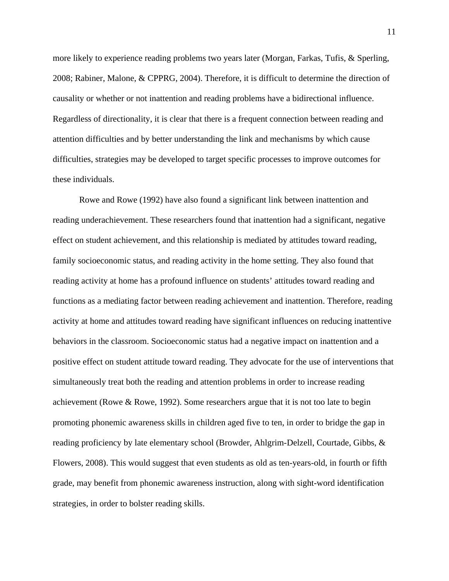more likely to experience reading problems two years later (Morgan, Farkas, Tufis, & Sperling, 2008; Rabiner, Malone, & CPPRG, 2004). Therefore, it is difficult to determine the direction of causality or whether or not inattention and reading problems have a bidirectional influence. Regardless of directionality, it is clear that there is a frequent connection between reading and attention difficulties and by better understanding the link and mechanisms by which cause difficulties, strategies may be developed to target specific processes to improve outcomes for these individuals.

Rowe and Rowe (1992) have also found a significant link between inattention and reading underachievement. These researchers found that inattention had a significant, negative effect on student achievement, and this relationship is mediated by attitudes toward reading, family socioeconomic status, and reading activity in the home setting. They also found that reading activity at home has a profound influence on students' attitudes toward reading and functions as a mediating factor between reading achievement and inattention. Therefore, reading activity at home and attitudes toward reading have significant influences on reducing inattentive behaviors in the classroom. Socioeconomic status had a negative impact on inattention and a positive effect on student attitude toward reading. They advocate for the use of interventions that simultaneously treat both the reading and attention problems in order to increase reading achievement (Rowe & Rowe, 1992). Some researchers argue that it is not too late to begin promoting phonemic awareness skills in children aged five to ten, in order to bridge the gap in reading proficiency by late elementary school (Browder, Ahlgrim-Delzell, Courtade, Gibbs, & Flowers, 2008). This would suggest that even students as old as ten-years-old, in fourth or fifth grade, may benefit from phonemic awareness instruction, along with sight-word identification strategies, in order to bolster reading skills.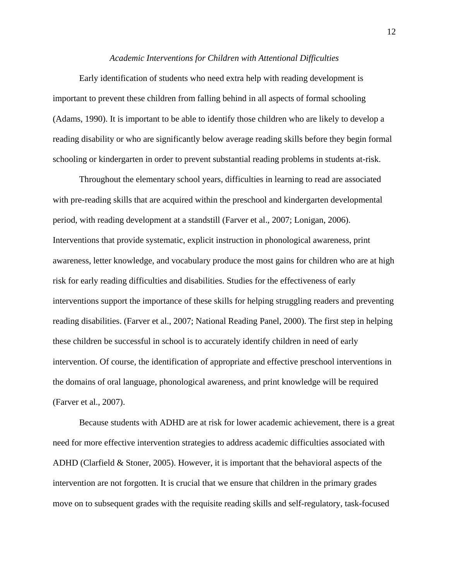#### *Academic Interventions for Children with Attentional Difficulties*

 Early identification of students who need extra help with reading development is important to prevent these children from falling behind in all aspects of formal schooling (Adams, 1990). It is important to be able to identify those children who are likely to develop a reading disability or who are significantly below average reading skills before they begin formal schooling or kindergarten in order to prevent substantial reading problems in students at-risk.

Throughout the elementary school years, difficulties in learning to read are associated with pre-reading skills that are acquired within the preschool and kindergarten developmental period, with reading development at a standstill (Farver et al., 2007; Lonigan, 2006). Interventions that provide systematic, explicit instruction in phonological awareness, print awareness, letter knowledge, and vocabulary produce the most gains for children who are at high risk for early reading difficulties and disabilities. Studies for the effectiveness of early interventions support the importance of these skills for helping struggling readers and preventing reading disabilities. (Farver et al., 2007; National Reading Panel, 2000). The first step in helping these children be successful in school is to accurately identify children in need of early intervention. Of course, the identification of appropriate and effective preschool interventions in the domains of oral language, phonological awareness, and print knowledge will be required (Farver et al., 2007).

Because students with ADHD are at risk for lower academic achievement, there is a great need for more effective intervention strategies to address academic difficulties associated with ADHD (Clarfield & Stoner, 2005). However, it is important that the behavioral aspects of the intervention are not forgotten. It is crucial that we ensure that children in the primary grades move on to subsequent grades with the requisite reading skills and self-regulatory, task-focused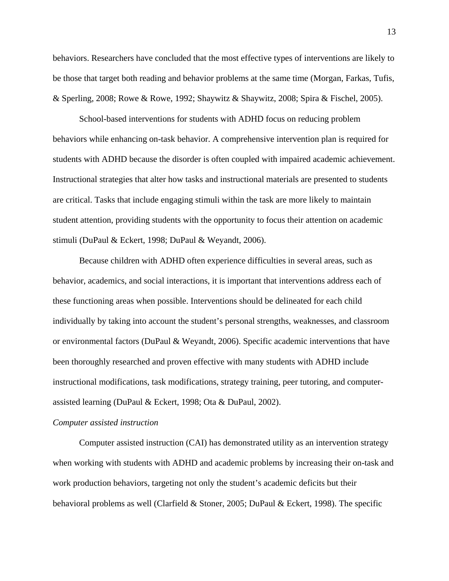behaviors. Researchers have concluded that the most effective types of interventions are likely to be those that target both reading and behavior problems at the same time (Morgan, Farkas, Tufis, & Sperling, 2008; Rowe & Rowe, 1992; Shaywitz & Shaywitz, 2008; Spira & Fischel, 2005).

School-based interventions for students with ADHD focus on reducing problem behaviors while enhancing on-task behavior. A comprehensive intervention plan is required for students with ADHD because the disorder is often coupled with impaired academic achievement. Instructional strategies that alter how tasks and instructional materials are presented to students are critical. Tasks that include engaging stimuli within the task are more likely to maintain student attention, providing students with the opportunity to focus their attention on academic stimuli (DuPaul & Eckert, 1998; DuPaul & Weyandt, 2006).

Because children with ADHD often experience difficulties in several areas, such as behavior, academics, and social interactions, it is important that interventions address each of these functioning areas when possible. Interventions should be delineated for each child individually by taking into account the student's personal strengths, weaknesses, and classroom or environmental factors (DuPaul & Weyandt, 2006). Specific academic interventions that have been thoroughly researched and proven effective with many students with ADHD include instructional modifications, task modifications, strategy training, peer tutoring, and computerassisted learning (DuPaul & Eckert, 1998; Ota & DuPaul, 2002).

#### *Computer assisted instruction*

Computer assisted instruction (CAI) has demonstrated utility as an intervention strategy when working with students with ADHD and academic problems by increasing their on-task and work production behaviors, targeting not only the student's academic deficits but their behavioral problems as well (Clarfield & Stoner, 2005; DuPaul & Eckert, 1998). The specific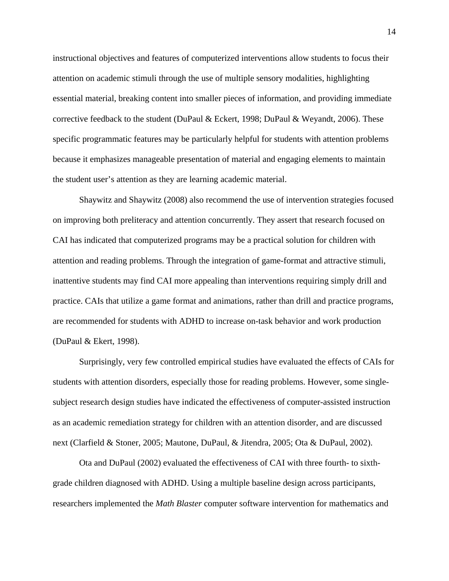instructional objectives and features of computerized interventions allow students to focus their attention on academic stimuli through the use of multiple sensory modalities, highlighting essential material, breaking content into smaller pieces of information, and providing immediate corrective feedback to the student (DuPaul & Eckert, 1998; DuPaul & Weyandt, 2006). These specific programmatic features may be particularly helpful for students with attention problems because it emphasizes manageable presentation of material and engaging elements to maintain the student user's attention as they are learning academic material.

Shaywitz and Shaywitz (2008) also recommend the use of intervention strategies focused on improving both preliteracy and attention concurrently. They assert that research focused on CAI has indicated that computerized programs may be a practical solution for children with attention and reading problems. Through the integration of game-format and attractive stimuli, inattentive students may find CAI more appealing than interventions requiring simply drill and practice. CAIs that utilize a game format and animations, rather than drill and practice programs, are recommended for students with ADHD to increase on-task behavior and work production (DuPaul & Ekert, 1998).

Surprisingly, very few controlled empirical studies have evaluated the effects of CAIs for students with attention disorders, especially those for reading problems. However, some singlesubject research design studies have indicated the effectiveness of computer-assisted instruction as an academic remediation strategy for children with an attention disorder, and are discussed next (Clarfield & Stoner, 2005; Mautone, DuPaul, & Jitendra, 2005; Ota & DuPaul, 2002).

Ota and DuPaul (2002) evaluated the effectiveness of CAI with three fourth- to sixthgrade children diagnosed with ADHD. Using a multiple baseline design across participants, researchers implemented the *Math Blaster* computer software intervention for mathematics and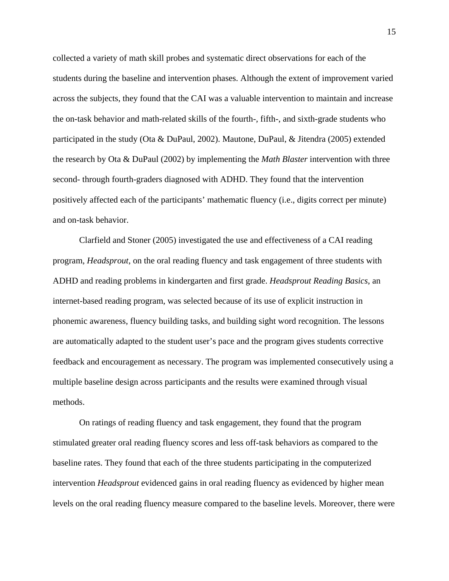collected a variety of math skill probes and systematic direct observations for each of the students during the baseline and intervention phases. Although the extent of improvement varied across the subjects, they found that the CAI was a valuable intervention to maintain and increase the on-task behavior and math-related skills of the fourth-, fifth-, and sixth-grade students who participated in the study (Ota & DuPaul, 2002). Mautone, DuPaul, & Jitendra (2005) extended the research by Ota & DuPaul (2002) by implementing the *Math Blaster* intervention with three second- through fourth-graders diagnosed with ADHD. They found that the intervention positively affected each of the participants' mathematic fluency (i.e., digits correct per minute) and on-task behavior.

Clarfield and Stoner (2005) investigated the use and effectiveness of a CAI reading program, *Headsprout*, on the oral reading fluency and task engagement of three students with ADHD and reading problems in kindergarten and first grade. *Headsprout Reading Basics*, an internet-based reading program, was selected because of its use of explicit instruction in phonemic awareness, fluency building tasks, and building sight word recognition. The lessons are automatically adapted to the student user's pace and the program gives students corrective feedback and encouragement as necessary. The program was implemented consecutively using a multiple baseline design across participants and the results were examined through visual methods.

On ratings of reading fluency and task engagement, they found that the program stimulated greater oral reading fluency scores and less off-task behaviors as compared to the baseline rates. They found that each of the three students participating in the computerized intervention *Headsprout* evidenced gains in oral reading fluency as evidenced by higher mean levels on the oral reading fluency measure compared to the baseline levels. Moreover, there were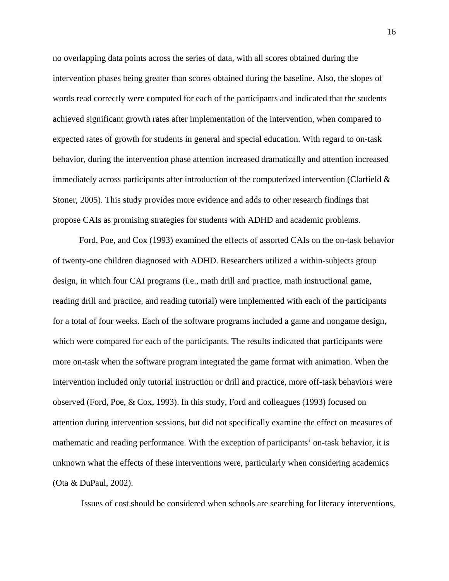no overlapping data points across the series of data, with all scores obtained during the intervention phases being greater than scores obtained during the baseline. Also, the slopes of words read correctly were computed for each of the participants and indicated that the students achieved significant growth rates after implementation of the intervention, when compared to expected rates of growth for students in general and special education. With regard to on-task behavior, during the intervention phase attention increased dramatically and attention increased immediately across participants after introduction of the computerized intervention (Clarfield & Stoner, 2005). This study provides more evidence and adds to other research findings that propose CAIs as promising strategies for students with ADHD and academic problems.

Ford, Poe, and Cox (1993) examined the effects of assorted CAIs on the on-task behavior of twenty-one children diagnosed with ADHD. Researchers utilized a within-subjects group design, in which four CAI programs (i.e., math drill and practice, math instructional game, reading drill and practice, and reading tutorial) were implemented with each of the participants for a total of four weeks. Each of the software programs included a game and nongame design, which were compared for each of the participants. The results indicated that participants were more on-task when the software program integrated the game format with animation. When the intervention included only tutorial instruction or drill and practice, more off-task behaviors were observed (Ford, Poe, & Cox, 1993). In this study, Ford and colleagues (1993) focused on attention during intervention sessions, but did not specifically examine the effect on measures of mathematic and reading performance. With the exception of participants' on-task behavior, it is unknown what the effects of these interventions were, particularly when considering academics (Ota & DuPaul, 2002).

Issues of cost should be considered when schools are searching for literacy interventions,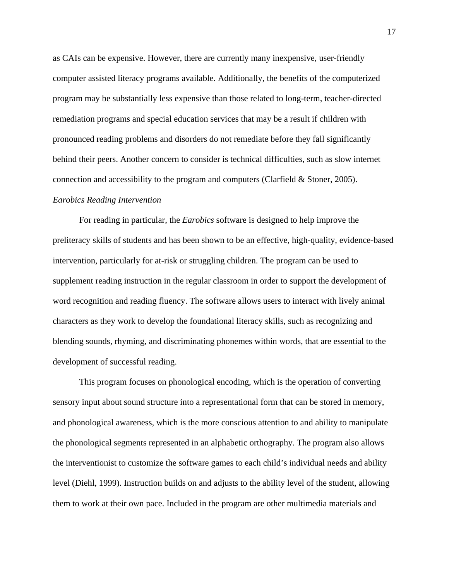as CAIs can be expensive. However, there are currently many inexpensive, user-friendly computer assisted literacy programs available. Additionally, the benefits of the computerized program may be substantially less expensive than those related to long-term, teacher-directed remediation programs and special education services that may be a result if children with pronounced reading problems and disorders do not remediate before they fall significantly behind their peers. Another concern to consider is technical difficulties, such as slow internet connection and accessibility to the program and computers (Clarfield  $&$  Stoner, 2005).

#### *Earobics Reading Intervention*

For reading in particular, the *Earobics* software is designed to help improve the preliteracy skills of students and has been shown to be an effective, high-quality, evidence-based intervention, particularly for at-risk or struggling children. The program can be used to supplement reading instruction in the regular classroom in order to support the development of word recognition and reading fluency. The software allows users to interact with lively animal characters as they work to develop the foundational literacy skills, such as recognizing and blending sounds, rhyming, and discriminating phonemes within words, that are essential to the development of successful reading.

This program focuses on phonological encoding, which is the operation of converting sensory input about sound structure into a representational form that can be stored in memory, and phonological awareness, which is the more conscious attention to and ability to manipulate the phonological segments represented in an alphabetic orthography. The program also allows the interventionist to customize the software games to each child's individual needs and ability level (Diehl, 1999). Instruction builds on and adjusts to the ability level of the student, allowing them to work at their own pace. Included in the program are other multimedia materials and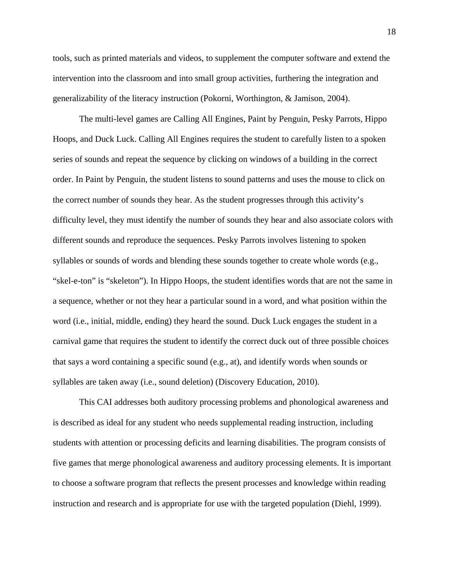tools, such as printed materials and videos, to supplement the computer software and extend the intervention into the classroom and into small group activities, furthering the integration and generalizability of the literacy instruction (Pokorni, Worthington, & Jamison, 2004).

The multi-level games are Calling All Engines, Paint by Penguin, Pesky Parrots, Hippo Hoops, and Duck Luck. Calling All Engines requires the student to carefully listen to a spoken series of sounds and repeat the sequence by clicking on windows of a building in the correct order. In Paint by Penguin, the student listens to sound patterns and uses the mouse to click on the correct number of sounds they hear. As the student progresses through this activity's difficulty level, they must identify the number of sounds they hear and also associate colors with different sounds and reproduce the sequences. Pesky Parrots involves listening to spoken syllables or sounds of words and blending these sounds together to create whole words (e.g., "skel-e-ton" is "skeleton"). In Hippo Hoops, the student identifies words that are not the same in a sequence, whether or not they hear a particular sound in a word, and what position within the word (i.e., initial, middle, ending) they heard the sound. Duck Luck engages the student in a carnival game that requires the student to identify the correct duck out of three possible choices that says a word containing a specific sound (e.g., at), and identify words when sounds or syllables are taken away (i.e., sound deletion) (Discovery Education, 2010).

This CAI addresses both auditory processing problems and phonological awareness and is described as ideal for any student who needs supplemental reading instruction, including students with attention or processing deficits and learning disabilities. The program consists of five games that merge phonological awareness and auditory processing elements. It is important to choose a software program that reflects the present processes and knowledge within reading instruction and research and is appropriate for use with the targeted population (Diehl, 1999).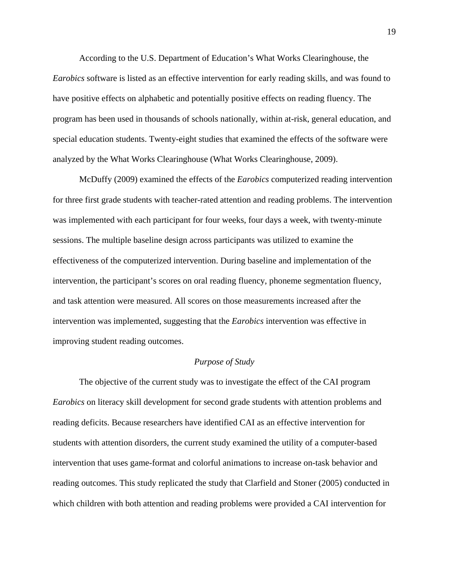According to the U.S. Department of Education's What Works Clearinghouse, the *Earobics* software is listed as an effective intervention for early reading skills, and was found to have positive effects on alphabetic and potentially positive effects on reading fluency. The program has been used in thousands of schools nationally, within at-risk, general education, and special education students. Twenty-eight studies that examined the effects of the software were analyzed by the What Works Clearinghouse (What Works Clearinghouse, 2009).

McDuffy (2009) examined the effects of the *Earobics* computerized reading intervention for three first grade students with teacher-rated attention and reading problems. The intervention was implemented with each participant for four weeks, four days a week, with twenty-minute sessions. The multiple baseline design across participants was utilized to examine the effectiveness of the computerized intervention. During baseline and implementation of the intervention, the participant's scores on oral reading fluency, phoneme segmentation fluency, and task attention were measured. All scores on those measurements increased after the intervention was implemented, suggesting that the *Earobics* intervention was effective in improving student reading outcomes.

#### *Purpose of Study*

The objective of the current study was to investigate the effect of the CAI program *Earobics* on literacy skill development for second grade students with attention problems and reading deficits. Because researchers have identified CAI as an effective intervention for students with attention disorders, the current study examined the utility of a computer-based intervention that uses game-format and colorful animations to increase on-task behavior and reading outcomes. This study replicated the study that Clarfield and Stoner (2005) conducted in which children with both attention and reading problems were provided a CAI intervention for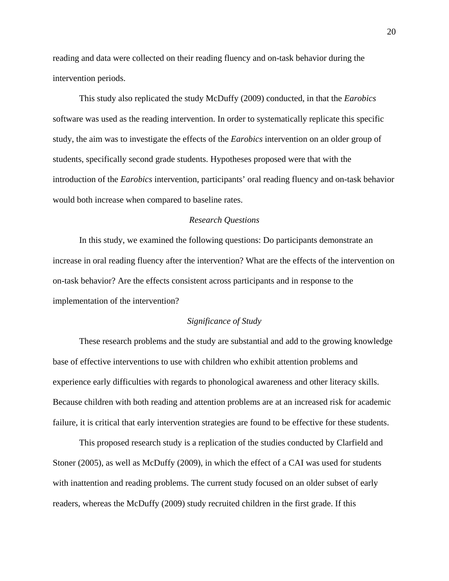reading and data were collected on their reading fluency and on-task behavior during the intervention periods.

This study also replicated the study McDuffy (2009) conducted, in that the *Earobics* software was used as the reading intervention. In order to systematically replicate this specific study, the aim was to investigate the effects of the *Earobics* intervention on an older group of students, specifically second grade students. Hypotheses proposed were that with the introduction of the *Earobics* intervention, participants' oral reading fluency and on-task behavior would both increase when compared to baseline rates.

#### *Research Questions*

In this study, we examined the following questions: Do participants demonstrate an increase in oral reading fluency after the intervention? What are the effects of the intervention on on-task behavior? Are the effects consistent across participants and in response to the implementation of the intervention?

#### *Significance of Study*

These research problems and the study are substantial and add to the growing knowledge base of effective interventions to use with children who exhibit attention problems and experience early difficulties with regards to phonological awareness and other literacy skills. Because children with both reading and attention problems are at an increased risk for academic failure, it is critical that early intervention strategies are found to be effective for these students.

This proposed research study is a replication of the studies conducted by Clarfield and Stoner (2005), as well as McDuffy (2009), in which the effect of a CAI was used for students with inattention and reading problems. The current study focused on an older subset of early readers, whereas the McDuffy (2009) study recruited children in the first grade. If this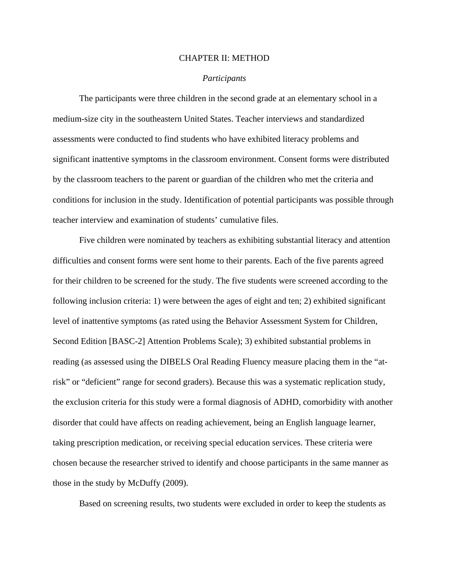#### CHAPTER II: METHOD

#### *Participants*

The participants were three children in the second grade at an elementary school in a medium-size city in the southeastern United States. Teacher interviews and standardized assessments were conducted to find students who have exhibited literacy problems and significant inattentive symptoms in the classroom environment. Consent forms were distributed by the classroom teachers to the parent or guardian of the children who met the criteria and conditions for inclusion in the study. Identification of potential participants was possible through teacher interview and examination of students' cumulative files.

Five children were nominated by teachers as exhibiting substantial literacy and attention difficulties and consent forms were sent home to their parents. Each of the five parents agreed for their children to be screened for the study. The five students were screened according to the following inclusion criteria: 1) were between the ages of eight and ten; 2) exhibited significant level of inattentive symptoms (as rated using the Behavior Assessment System for Children, Second Edition [BASC-2] Attention Problems Scale); 3) exhibited substantial problems in reading (as assessed using the DIBELS Oral Reading Fluency measure placing them in the "atrisk" or "deficient" range for second graders). Because this was a systematic replication study, the exclusion criteria for this study were a formal diagnosis of ADHD, comorbidity with another disorder that could have affects on reading achievement, being an English language learner, taking prescription medication, or receiving special education services. These criteria were chosen because the researcher strived to identify and choose participants in the same manner as those in the study by McDuffy (2009).

Based on screening results, two students were excluded in order to keep the students as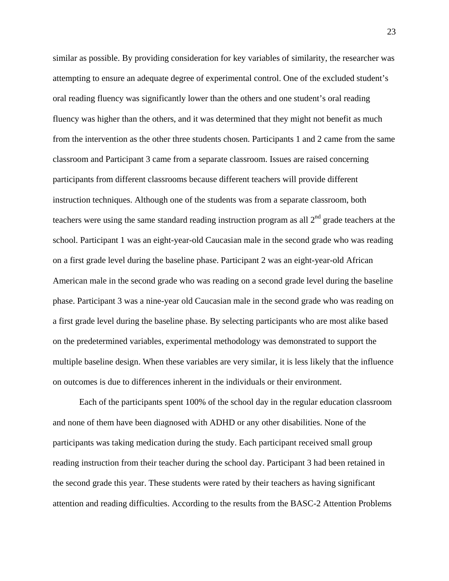similar as possible. By providing consideration for key variables of similarity, the researcher was attempting to ensure an adequate degree of experimental control. One of the excluded student's oral reading fluency was significantly lower than the others and one student's oral reading fluency was higher than the others, and it was determined that they might not benefit as much from the intervention as the other three students chosen. Participants 1 and 2 came from the same classroom and Participant 3 came from a separate classroom. Issues are raised concerning participants from different classrooms because different teachers will provide different instruction techniques. Although one of the students was from a separate classroom, both teachers were using the same standard reading instruction program as all  $2<sup>nd</sup>$  grade teachers at the school. Participant 1 was an eight-year-old Caucasian male in the second grade who was reading on a first grade level during the baseline phase. Participant 2 was an eight-year-old African American male in the second grade who was reading on a second grade level during the baseline phase. Participant 3 was a nine-year old Caucasian male in the second grade who was reading on a first grade level during the baseline phase. By selecting participants who are most alike based on the predetermined variables, experimental methodology was demonstrated to support the multiple baseline design. When these variables are very similar, it is less likely that the influence on outcomes is due to differences inherent in the individuals or their environment.

Each of the participants spent 100% of the school day in the regular education classroom and none of them have been diagnosed with ADHD or any other disabilities. None of the participants was taking medication during the study. Each participant received small group reading instruction from their teacher during the school day. Participant 3 had been retained in the second grade this year. These students were rated by their teachers as having significant attention and reading difficulties. According to the results from the BASC-2 Attention Problems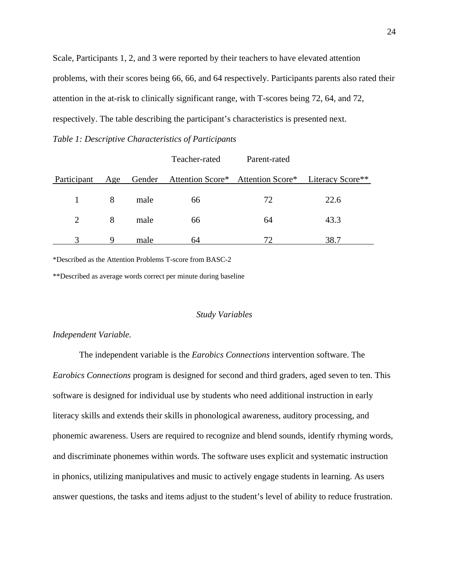Scale, Participants 1, 2, and 3 were reported by their teachers to have elevated attention problems, with their scores being 66, 66, and 64 respectively. Participants parents also rated their attention in the at-risk to clinically significant range, with T-scores being 72, 64, and 72, respectively. The table describing the participant's characteristics is presented next.

*Table 1: Descriptive Characteristics of Participants* 

|             |     |      | Teacher-rated                                             | Parent-rated |      |
|-------------|-----|------|-----------------------------------------------------------|--------------|------|
| Participant | Age |      | Gender Attention Score* Attention Score* Literacy Score** |              |      |
|             | 8   | male | 66                                                        | 72           | 22.6 |
| 2           | 8   | male | 66                                                        | 64           | 43.3 |
|             |     | male | 64                                                        | 72           | 38.7 |

\*Described as the Attention Problems T-score from BASC-2

\*\*Described as average words correct per minute during baseline

#### *Study Variables*

#### *Independent Variable.*

The independent variable is the *Earobics Connections* intervention software. The *Earobics Connections* program is designed for second and third graders, aged seven to ten. This software is designed for individual use by students who need additional instruction in early literacy skills and extends their skills in phonological awareness, auditory processing, and phonemic awareness. Users are required to recognize and blend sounds, identify rhyming words, and discriminate phonemes within words. The software uses explicit and systematic instruction in phonics, utilizing manipulatives and music to actively engage students in learning. As users answer questions, the tasks and items adjust to the student's level of ability to reduce frustration.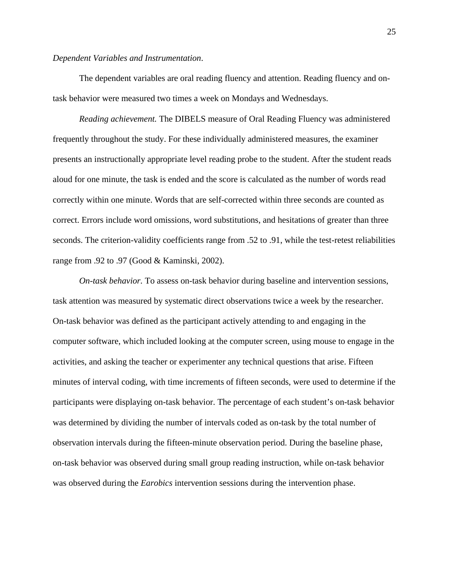#### *Dependent Variables and Instrumentation*.

The dependent variables are oral reading fluency and attention. Reading fluency and ontask behavior were measured two times a week on Mondays and Wednesdays.

*Reading achievement.* The DIBELS measure of Oral Reading Fluency was administered frequently throughout the study. For these individually administered measures, the examiner presents an instructionally appropriate level reading probe to the student. After the student reads aloud for one minute, the task is ended and the score is calculated as the number of words read correctly within one minute. Words that are self-corrected within three seconds are counted as correct. Errors include word omissions, word substitutions, and hesitations of greater than three seconds. The criterion-validity coefficients range from .52 to .91, while the test-retest reliabilities range from .92 to .97 (Good & Kaminski, 2002).

*On-task behavior.* To assess on-task behavior during baseline and intervention sessions, task attention was measured by systematic direct observations twice a week by the researcher. On-task behavior was defined as the participant actively attending to and engaging in the computer software, which included looking at the computer screen, using mouse to engage in the activities, and asking the teacher or experimenter any technical questions that arise. Fifteen minutes of interval coding, with time increments of fifteen seconds, were used to determine if the participants were displaying on-task behavior. The percentage of each student's on-task behavior was determined by dividing the number of intervals coded as on-task by the total number of observation intervals during the fifteen-minute observation period. During the baseline phase, on-task behavior was observed during small group reading instruction, while on-task behavior was observed during the *Earobics* intervention sessions during the intervention phase.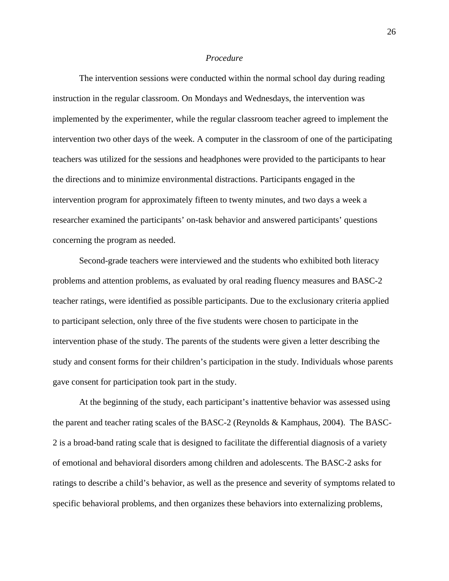#### *Procedure*

The intervention sessions were conducted within the normal school day during reading instruction in the regular classroom. On Mondays and Wednesdays, the intervention was implemented by the experimenter, while the regular classroom teacher agreed to implement the intervention two other days of the week. A computer in the classroom of one of the participating teachers was utilized for the sessions and headphones were provided to the participants to hear the directions and to minimize environmental distractions. Participants engaged in the intervention program for approximately fifteen to twenty minutes, and two days a week a researcher examined the participants' on-task behavior and answered participants' questions concerning the program as needed.

Second-grade teachers were interviewed and the students who exhibited both literacy problems and attention problems, as evaluated by oral reading fluency measures and BASC-2 teacher ratings, were identified as possible participants. Due to the exclusionary criteria applied to participant selection, only three of the five students were chosen to participate in the intervention phase of the study. The parents of the students were given a letter describing the study and consent forms for their children's participation in the study. Individuals whose parents gave consent for participation took part in the study.

At the beginning of the study, each participant's inattentive behavior was assessed using the parent and teacher rating scales of the BASC-2 (Reynolds & Kamphaus, 2004). The BASC-2 is a broad-band rating scale that is designed to facilitate the differential diagnosis of a variety of emotional and behavioral disorders among children and adolescents. The BASC-2 asks for ratings to describe a child's behavior, as well as the presence and severity of symptoms related to specific behavioral problems, and then organizes these behaviors into externalizing problems,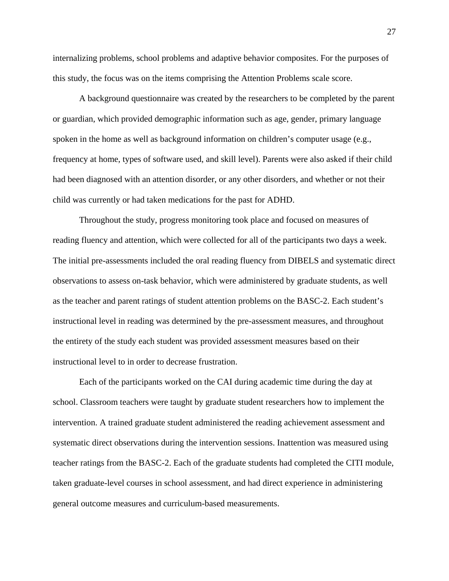internalizing problems, school problems and adaptive behavior composites. For the purposes of this study, the focus was on the items comprising the Attention Problems scale score.

A background questionnaire was created by the researchers to be completed by the parent or guardian, which provided demographic information such as age, gender, primary language spoken in the home as well as background information on children's computer usage (e.g., frequency at home, types of software used, and skill level). Parents were also asked if their child had been diagnosed with an attention disorder, or any other disorders, and whether or not their child was currently or had taken medications for the past for ADHD.

Throughout the study, progress monitoring took place and focused on measures of reading fluency and attention, which were collected for all of the participants two days a week. The initial pre-assessments included the oral reading fluency from DIBELS and systematic direct observations to assess on-task behavior, which were administered by graduate students, as well as the teacher and parent ratings of student attention problems on the BASC-2. Each student's instructional level in reading was determined by the pre-assessment measures, and throughout the entirety of the study each student was provided assessment measures based on their instructional level to in order to decrease frustration.

Each of the participants worked on the CAI during academic time during the day at school. Classroom teachers were taught by graduate student researchers how to implement the intervention. A trained graduate student administered the reading achievement assessment and systematic direct observations during the intervention sessions. Inattention was measured using teacher ratings from the BASC-2. Each of the graduate students had completed the CITI module, taken graduate-level courses in school assessment, and had direct experience in administering general outcome measures and curriculum-based measurements.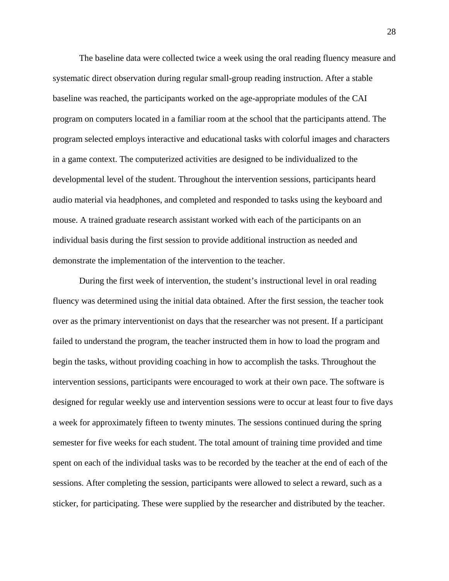The baseline data were collected twice a week using the oral reading fluency measure and systematic direct observation during regular small-group reading instruction. After a stable baseline was reached, the participants worked on the age-appropriate modules of the CAI program on computers located in a familiar room at the school that the participants attend. The program selected employs interactive and educational tasks with colorful images and characters in a game context. The computerized activities are designed to be individualized to the developmental level of the student. Throughout the intervention sessions, participants heard audio material via headphones, and completed and responded to tasks using the keyboard and mouse. A trained graduate research assistant worked with each of the participants on an individual basis during the first session to provide additional instruction as needed and demonstrate the implementation of the intervention to the teacher.

During the first week of intervention, the student's instructional level in oral reading fluency was determined using the initial data obtained. After the first session, the teacher took over as the primary interventionist on days that the researcher was not present. If a participant failed to understand the program, the teacher instructed them in how to load the program and begin the tasks, without providing coaching in how to accomplish the tasks. Throughout the intervention sessions, participants were encouraged to work at their own pace. The software is designed for regular weekly use and intervention sessions were to occur at least four to five days a week for approximately fifteen to twenty minutes. The sessions continued during the spring semester for five weeks for each student. The total amount of training time provided and time spent on each of the individual tasks was to be recorded by the teacher at the end of each of the sessions. After completing the session, participants were allowed to select a reward, such as a sticker, for participating. These were supplied by the researcher and distributed by the teacher.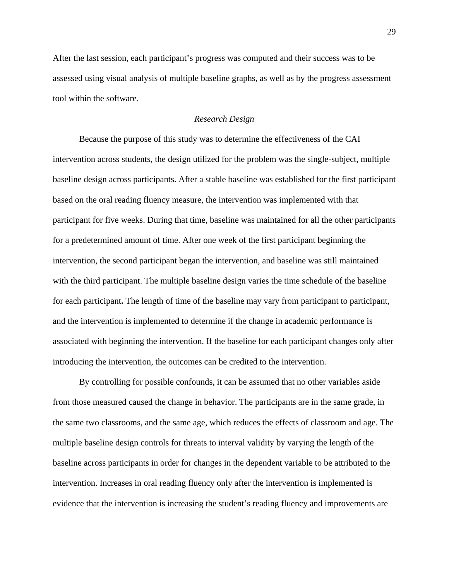After the last session, each participant's progress was computed and their success was to be assessed using visual analysis of multiple baseline graphs, as well as by the progress assessment tool within the software.

#### *Research Design*

Because the purpose of this study was to determine the effectiveness of the CAI intervention across students, the design utilized for the problem was the single-subject, multiple baseline design across participants. After a stable baseline was established for the first participant based on the oral reading fluency measure, the intervention was implemented with that participant for five weeks. During that time, baseline was maintained for all the other participants for a predetermined amount of time. After one week of the first participant beginning the intervention, the second participant began the intervention, and baseline was still maintained with the third participant. The multiple baseline design varies the time schedule of the baseline for each participant**.** The length of time of the baseline may vary from participant to participant, and the intervention is implemented to determine if the change in academic performance is associated with beginning the intervention. If the baseline for each participant changes only after introducing the intervention, the outcomes can be credited to the intervention.

By controlling for possible confounds, it can be assumed that no other variables aside from those measured caused the change in behavior. The participants are in the same grade, in the same two classrooms, and the same age, which reduces the effects of classroom and age. The multiple baseline design controls for threats to interval validity by varying the length of the baseline across participants in order for changes in the dependent variable to be attributed to the intervention. Increases in oral reading fluency only after the intervention is implemented is evidence that the intervention is increasing the student's reading fluency and improvements are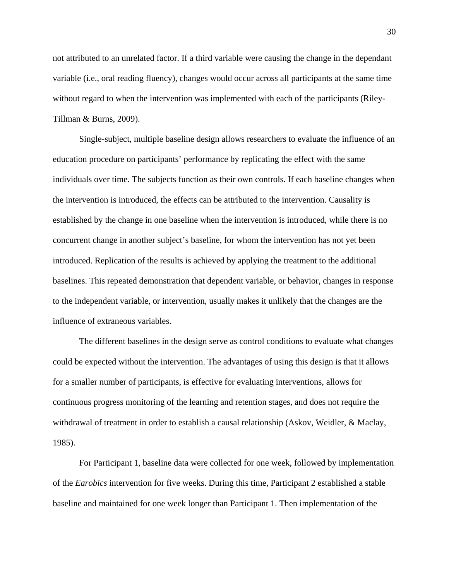not attributed to an unrelated factor. If a third variable were causing the change in the dependant variable (i.e., oral reading fluency), changes would occur across all participants at the same time without regard to when the intervention was implemented with each of the participants (Riley-Tillman & Burns, 2009).

Single-subject, multiple baseline design allows researchers to evaluate the influence of an education procedure on participants' performance by replicating the effect with the same individuals over time. The subjects function as their own controls. If each baseline changes when the intervention is introduced, the effects can be attributed to the intervention. Causality is established by the change in one baseline when the intervention is introduced, while there is no concurrent change in another subject's baseline, for whom the intervention has not yet been introduced. Replication of the results is achieved by applying the treatment to the additional baselines. This repeated demonstration that dependent variable, or behavior, changes in response to the independent variable, or intervention, usually makes it unlikely that the changes are the influence of extraneous variables.

The different baselines in the design serve as control conditions to evaluate what changes could be expected without the intervention. The advantages of using this design is that it allows for a smaller number of participants, is effective for evaluating interventions, allows for continuous progress monitoring of the learning and retention stages, and does not require the withdrawal of treatment in order to establish a causal relationship (Askov, Weidler, & Maclay, 1985).

For Participant 1, baseline data were collected for one week, followed by implementation of the *Earobics* intervention for five weeks. During this time, Participant 2 established a stable baseline and maintained for one week longer than Participant 1. Then implementation of the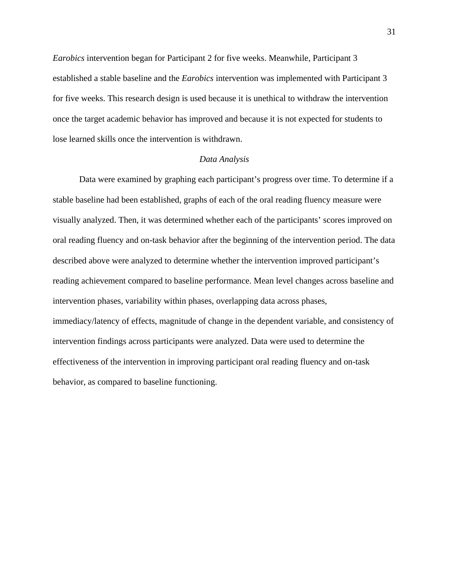*Earobics* intervention began for Participant 2 for five weeks. Meanwhile, Participant 3 established a stable baseline and the *Earobics* intervention was implemented with Participant 3 for five weeks. This research design is used because it is unethical to withdraw the intervention once the target academic behavior has improved and because it is not expected for students to lose learned skills once the intervention is withdrawn.

#### *Data Analysis*

Data were examined by graphing each participant's progress over time. To determine if a stable baseline had been established, graphs of each of the oral reading fluency measure were visually analyzed. Then, it was determined whether each of the participants' scores improved on oral reading fluency and on-task behavior after the beginning of the intervention period. The data described above were analyzed to determine whether the intervention improved participant's reading achievement compared to baseline performance. Mean level changes across baseline and intervention phases, variability within phases, overlapping data across phases, immediacy/latency of effects, magnitude of change in the dependent variable, and consistency of intervention findings across participants were analyzed. Data were used to determine the effectiveness of the intervention in improving participant oral reading fluency and on-task behavior, as compared to baseline functioning.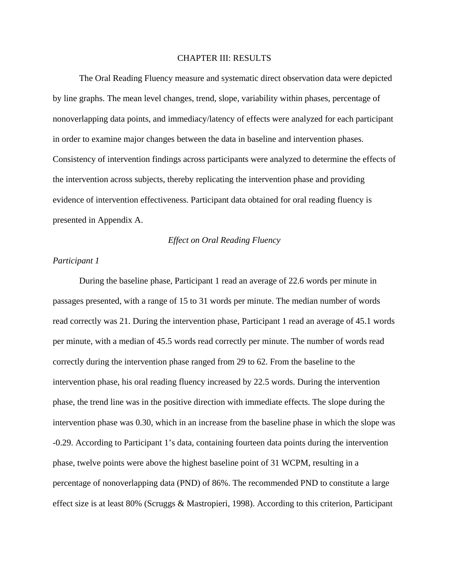#### CHAPTER III: RESULTS

The Oral Reading Fluency measure and systematic direct observation data were depicted by line graphs. The mean level changes, trend, slope, variability within phases, percentage of nonoverlapping data points, and immediacy/latency of effects were analyzed for each participant in order to examine major changes between the data in baseline and intervention phases. Consistency of intervention findings across participants were analyzed to determine the effects of the intervention across subjects, thereby replicating the intervention phase and providing evidence of intervention effectiveness. Participant data obtained for oral reading fluency is presented in Appendix A.

#### *Effect on Oral Reading Fluency*

#### *Participant 1*

During the baseline phase, Participant 1 read an average of 22.6 words per minute in passages presented, with a range of 15 to 31 words per minute. The median number of words read correctly was 21. During the intervention phase, Participant 1 read an average of 45.1 words per minute, with a median of 45.5 words read correctly per minute. The number of words read correctly during the intervention phase ranged from 29 to 62. From the baseline to the intervention phase, his oral reading fluency increased by 22.5 words. During the intervention phase, the trend line was in the positive direction with immediate effects. The slope during the intervention phase was 0.30, which in an increase from the baseline phase in which the slope was -0.29. According to Participant 1's data, containing fourteen data points during the intervention phase, twelve points were above the highest baseline point of 31 WCPM, resulting in a percentage of nonoverlapping data (PND) of 86%. The recommended PND to constitute a large effect size is at least 80% (Scruggs & Mastropieri, 1998). According to this criterion, Participant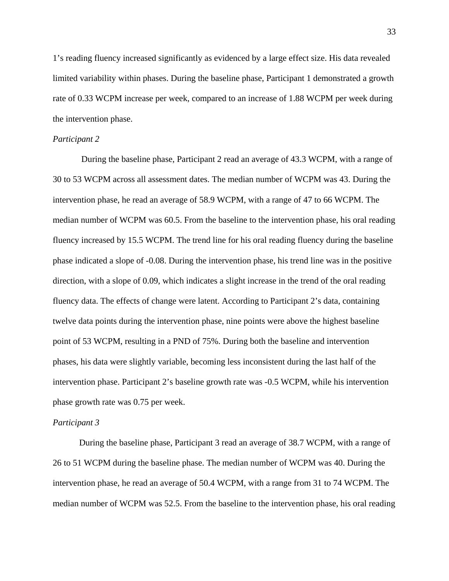1's reading fluency increased significantly as evidenced by a large effect size. His data revealed limited variability within phases. During the baseline phase, Participant 1 demonstrated a growth rate of 0.33 WCPM increase per week, compared to an increase of 1.88 WCPM per week during the intervention phase.

#### *Participant 2*

During the baseline phase, Participant 2 read an average of 43.3 WCPM, with a range of 30 to 53 WCPM across all assessment dates. The median number of WCPM was 43. During the intervention phase, he read an average of 58.9 WCPM, with a range of 47 to 66 WCPM. The median number of WCPM was 60.5. From the baseline to the intervention phase, his oral reading fluency increased by 15.5 WCPM. The trend line for his oral reading fluency during the baseline phase indicated a slope of -0.08. During the intervention phase, his trend line was in the positive direction, with a slope of 0.09, which indicates a slight increase in the trend of the oral reading fluency data. The effects of change were latent. According to Participant 2's data, containing twelve data points during the intervention phase, nine points were above the highest baseline point of 53 WCPM, resulting in a PND of 75%. During both the baseline and intervention phases, his data were slightly variable, becoming less inconsistent during the last half of the intervention phase. Participant 2's baseline growth rate was -0.5 WCPM, while his intervention phase growth rate was 0.75 per week.

#### *Participant 3*

During the baseline phase, Participant 3 read an average of 38.7 WCPM, with a range of 26 to 51 WCPM during the baseline phase. The median number of WCPM was 40. During the intervention phase, he read an average of 50.4 WCPM, with a range from 31 to 74 WCPM. The median number of WCPM was 52.5. From the baseline to the intervention phase, his oral reading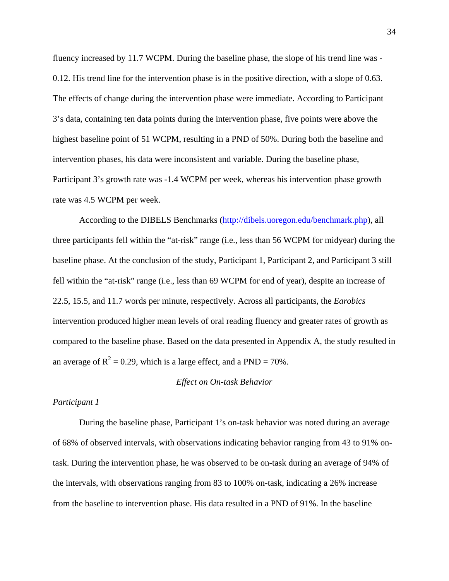fluency increased by 11.7 WCPM. During the baseline phase, the slope of his trend line was - 0.12. His trend line for the intervention phase is in the positive direction, with a slope of 0.63. The effects of change during the intervention phase were immediate. According to Participant 3's data, containing ten data points during the intervention phase, five points were above the highest baseline point of 51 WCPM, resulting in a PND of 50%. During both the baseline and intervention phases, his data were inconsistent and variable. During the baseline phase, Participant 3's growth rate was -1.4 WCPM per week, whereas his intervention phase growth rate was 4.5 WCPM per week.

According to the DIBELS Benchmarks (<http://dibels.uoregon.edu/benchmark.php>), all three participants fell within the "at-risk" range (i.e., less than 56 WCPM for midyear) during the baseline phase. At the conclusion of the study, Participant 1, Participant 2, and Participant 3 still fell within the "at-risk" range (i.e., less than 69 WCPM for end of year), despite an increase of 22.5, 15.5, and 11.7 words per minute, respectively. Across all participants, the *Earobics* intervention produced higher mean levels of oral reading fluency and greater rates of growth as compared to the baseline phase. Based on the data presented in Appendix A, the study resulted in an average of  $R^2 = 0.29$ , which is a large effect, and a PND = 70%.

#### *Effect on On-task Behavior*

#### *Participant 1*

During the baseline phase, Participant 1's on-task behavior was noted during an average of 68% of observed intervals, with observations indicating behavior ranging from 43 to 91% ontask. During the intervention phase, he was observed to be on-task during an average of 94% of the intervals, with observations ranging from 83 to 100% on-task, indicating a 26% increase from the baseline to intervention phase. His data resulted in a PND of 91%. In the baseline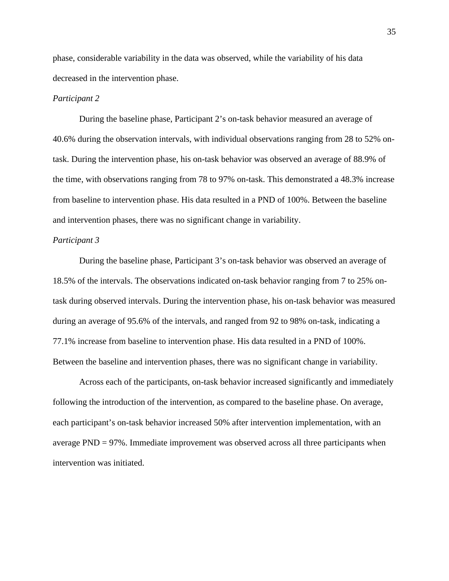phase, considerable variability in the data was observed, while the variability of his data decreased in the intervention phase.

#### *Participant 2*

During the baseline phase, Participant 2's on-task behavior measured an average of 40.6% during the observation intervals, with individual observations ranging from 28 to 52% ontask. During the intervention phase, his on-task behavior was observed an average of 88.9% of the time, with observations ranging from 78 to 97% on-task. This demonstrated a 48.3% increase from baseline to intervention phase. His data resulted in a PND of 100%. Between the baseline and intervention phases, there was no significant change in variability.

#### *Participant 3*

During the baseline phase, Participant 3's on-task behavior was observed an average of 18.5% of the intervals. The observations indicated on-task behavior ranging from 7 to 25% ontask during observed intervals. During the intervention phase, his on-task behavior was measured during an average of 95.6% of the intervals, and ranged from 92 to 98% on-task, indicating a 77.1% increase from baseline to intervention phase. His data resulted in a PND of 100%. Between the baseline and intervention phases, there was no significant change in variability.

Across each of the participants, on-task behavior increased significantly and immediately following the introduction of the intervention, as compared to the baseline phase. On average, each participant's on-task behavior increased 50% after intervention implementation, with an average PND = 97%. Immediate improvement was observed across all three participants when intervention was initiated.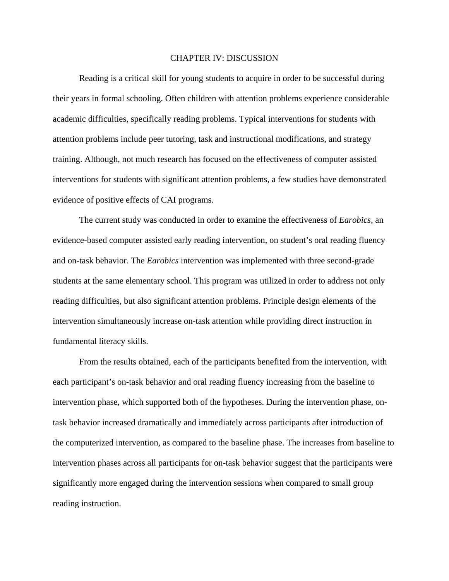#### CHAPTER IV: DISCUSSION

Reading is a critical skill for young students to acquire in order to be successful during their years in formal schooling. Often children with attention problems experience considerable academic difficulties, specifically reading problems. Typical interventions for students with attention problems include peer tutoring, task and instructional modifications, and strategy training. Although, not much research has focused on the effectiveness of computer assisted interventions for students with significant attention problems, a few studies have demonstrated evidence of positive effects of CAI programs.

The current study was conducted in order to examine the effectiveness of *Earobics*, an evidence-based computer assisted early reading intervention, on student's oral reading fluency and on-task behavior. The *Earobics* intervention was implemented with three second-grade students at the same elementary school. This program was utilized in order to address not only reading difficulties, but also significant attention problems. Principle design elements of the intervention simultaneously increase on-task attention while providing direct instruction in fundamental literacy skills.

From the results obtained, each of the participants benefited from the intervention, with each participant's on-task behavior and oral reading fluency increasing from the baseline to intervention phase, which supported both of the hypotheses. During the intervention phase, ontask behavior increased dramatically and immediately across participants after introduction of the computerized intervention, as compared to the baseline phase. The increases from baseline to intervention phases across all participants for on-task behavior suggest that the participants were significantly more engaged during the intervention sessions when compared to small group reading instruction.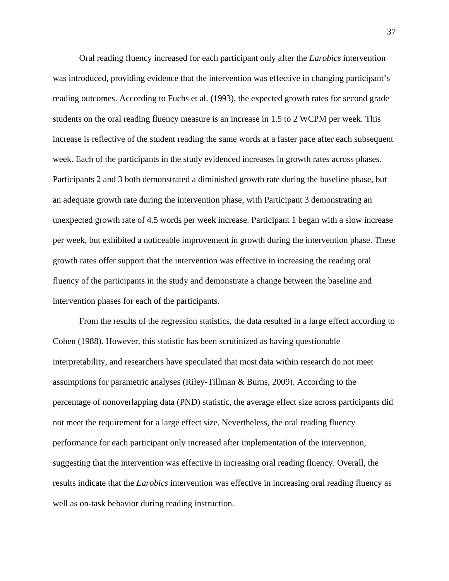Oral reading fluency increased for each participant only after the *Earobics* intervention was introduced, providing evidence that the intervention was effective in changing participant's reading outcomes. According to Fuchs et al. (1993), the expected growth rates for second grade students on the oral reading fluency measure is an increase in 1.5 to 2 WCPM per week. This increase is reflective of the student reading the same words at a faster pace after each subsequent week. Each of the participants in the study evidenced increases in growth rates across phases. Participants 2 and 3 both demonstrated a diminished growth rate during the baseline phase, but an adequate growth rate during the intervention phase, with Participant 3 demonstrating an unexpected growth rate of 4.5 words per week increase. Participant 1 began with a slow increase per week, but exhibited a noticeable improvement in growth during the intervention phase. These growth rates offer support that the intervention was effective in increasing the reading oral fluency of the participants in the study and demonstrate a change between the baseline and intervention phases for each of the participants.

From the results of the regression statistics, the data resulted in a large effect according to Cohen (1988). However, this statistic has been scrutinized as having questionable interpretability, and researchers have speculated that most data within research do not meet assumptions for parametric analyses (Riley-Tillman & Burns, 2009). According to the percentage of nonoverlapping data (PND) statistic, the average effect size across participants did not meet the requirement for a large effect size. Nevertheless, the oral reading fluency performance for each participant only increased after implementation of the intervention, suggesting that the intervention was effective in increasing oral reading fluency. Overall, the results indicate that the *Earobics* intervention was effective in increasing oral reading fluency as well as on-task behavior during reading instruction.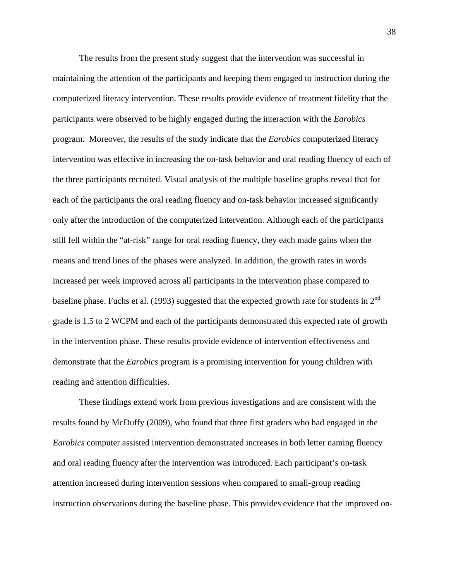The results from the present study suggest that the intervention was successful in maintaining the attention of the participants and keeping them engaged to instruction during the computerized literacy intervention. These results provide evidence of treatment fidelity that the participants were observed to be highly engaged during the interaction with the *Earobics* program. Moreover, the results of the study indicate that the *Earobics* computerized literacy intervention was effective in increasing the on-task behavior and oral reading fluency of each of the three participants recruited. Visual analysis of the multiple baseline graphs reveal that for each of the participants the oral reading fluency and on-task behavior increased significantly only after the introduction of the computerized intervention. Although each of the participants still fell within the "at-risk" range for oral reading fluency, they each made gains when the means and trend lines of the phases were analyzed. In addition, the growth rates in words increased per week improved across all participants in the intervention phase compared to baseline phase. Fuchs et al. (1993) suggested that the expected growth rate for students in  $2<sup>nd</sup>$ grade is 1.5 to 2 WCPM and each of the participants demonstrated this expected rate of growth in the intervention phase. These results provide evidence of intervention effectiveness and demonstrate that the *Earobics* program is a promising intervention for young children with reading and attention difficulties.

These findings extend work from previous investigations and are consistent with the results found by McDuffy (2009), who found that three first graders who had engaged in the *Earobics* computer assisted intervention demonstrated increases in both letter naming fluency and oral reading fluency after the intervention was introduced. Each participant's on-task attention increased during intervention sessions when compared to small-group reading instruction observations during the baseline phase. This provides evidence that the improved on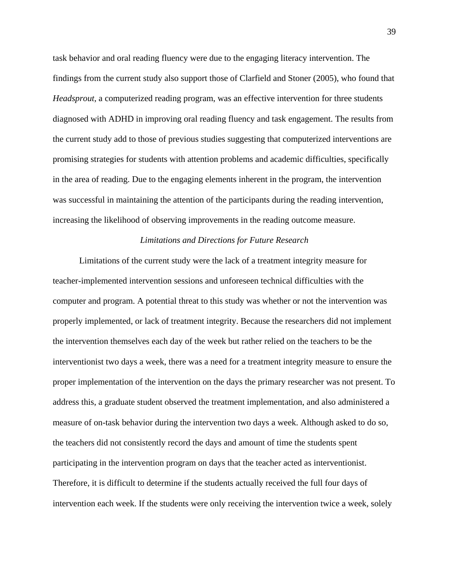task behavior and oral reading fluency were due to the engaging literacy intervention. The findings from the current study also support those of Clarfield and Stoner (2005), who found that *Headsprout*, a computerized reading program, was an effective intervention for three students diagnosed with ADHD in improving oral reading fluency and task engagement. The results from the current study add to those of previous studies suggesting that computerized interventions are promising strategies for students with attention problems and academic difficulties, specifically in the area of reading. Due to the engaging elements inherent in the program, the intervention was successful in maintaining the attention of the participants during the reading intervention, increasing the likelihood of observing improvements in the reading outcome measure.

#### *Limitations and Directions for Future Research*

Limitations of the current study were the lack of a treatment integrity measure for teacher-implemented intervention sessions and unforeseen technical difficulties with the computer and program. A potential threat to this study was whether or not the intervention was properly implemented, or lack of treatment integrity. Because the researchers did not implement the intervention themselves each day of the week but rather relied on the teachers to be the interventionist two days a week, there was a need for a treatment integrity measure to ensure the proper implementation of the intervention on the days the primary researcher was not present. To address this, a graduate student observed the treatment implementation, and also administered a measure of on-task behavior during the intervention two days a week. Although asked to do so, the teachers did not consistently record the days and amount of time the students spent participating in the intervention program on days that the teacher acted as interventionist. Therefore, it is difficult to determine if the students actually received the full four days of intervention each week. If the students were only receiving the intervention twice a week, solely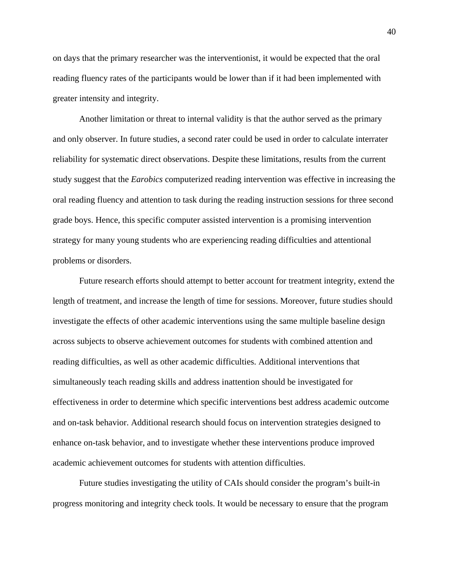on days that the primary researcher was the interventionist, it would be expected that the oral reading fluency rates of the participants would be lower than if it had been implemented with greater intensity and integrity.

Another limitation or threat to internal validity is that the author served as the primary and only observer. In future studies, a second rater could be used in order to calculate interrater reliability for systematic direct observations. Despite these limitations, results from the current study suggest that the *Earobics* computerized reading intervention was effective in increasing the oral reading fluency and attention to task during the reading instruction sessions for three second grade boys. Hence, this specific computer assisted intervention is a promising intervention strategy for many young students who are experiencing reading difficulties and attentional problems or disorders.

Future research efforts should attempt to better account for treatment integrity, extend the length of treatment, and increase the length of time for sessions. Moreover, future studies should investigate the effects of other academic interventions using the same multiple baseline design across subjects to observe achievement outcomes for students with combined attention and reading difficulties, as well as other academic difficulties. Additional interventions that simultaneously teach reading skills and address inattention should be investigated for effectiveness in order to determine which specific interventions best address academic outcome and on-task behavior. Additional research should focus on intervention strategies designed to enhance on-task behavior, and to investigate whether these interventions produce improved academic achievement outcomes for students with attention difficulties.

Future studies investigating the utility of CAIs should consider the program's built-in progress monitoring and integrity check tools. It would be necessary to ensure that the program

40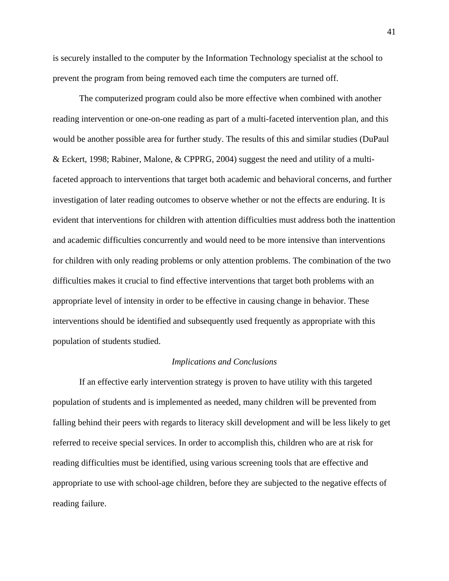is securely installed to the computer by the Information Technology specialist at the school to prevent the program from being removed each time the computers are turned off.

The computerized program could also be more effective when combined with another reading intervention or one-on-one reading as part of a multi-faceted intervention plan, and this would be another possible area for further study. The results of this and similar studies (DuPaul & Eckert, 1998; Rabiner, Malone, & CPPRG, 2004) suggest the need and utility of a multifaceted approach to interventions that target both academic and behavioral concerns, and further investigation of later reading outcomes to observe whether or not the effects are enduring. It is evident that interventions for children with attention difficulties must address both the inattention and academic difficulties concurrently and would need to be more intensive than interventions for children with only reading problems or only attention problems. The combination of the two difficulties makes it crucial to find effective interventions that target both problems with an appropriate level of intensity in order to be effective in causing change in behavior. These interventions should be identified and subsequently used frequently as appropriate with this population of students studied.

#### *Implications and Conclusions*

If an effective early intervention strategy is proven to have utility with this targeted population of students and is implemented as needed, many children will be prevented from falling behind their peers with regards to literacy skill development and will be less likely to get referred to receive special services. In order to accomplish this, children who are at risk for reading difficulties must be identified, using various screening tools that are effective and appropriate to use with school-age children, before they are subjected to the negative effects of reading failure.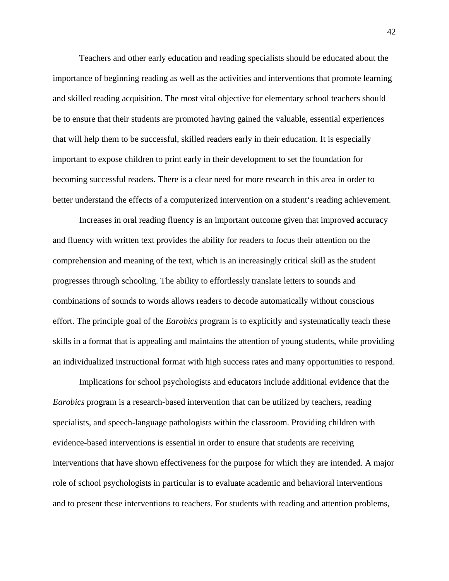Teachers and other early education and reading specialists should be educated about the importance of beginning reading as well as the activities and interventions that promote learning and skilled reading acquisition. The most vital objective for elementary school teachers should be to ensure that their students are promoted having gained the valuable, essential experiences that will help them to be successful, skilled readers early in their education. It is especially important to expose children to print early in their development to set the foundation for becoming successful readers. There is a clear need for more research in this area in order to better understand the effects of a computerized intervention on a student's reading achievement.

Increases in oral reading fluency is an important outcome given that improved accuracy and fluency with written text provides the ability for readers to focus their attention on the comprehension and meaning of the text, which is an increasingly critical skill as the student progresses through schooling. The ability to effortlessly translate letters to sounds and combinations of sounds to words allows readers to decode automatically without conscious effort. The principle goal of the *Earobics* program is to explicitly and systematically teach these skills in a format that is appealing and maintains the attention of young students, while providing an individualized instructional format with high success rates and many opportunities to respond.

Implications for school psychologists and educators include additional evidence that the *Earobics* program is a research-based intervention that can be utilized by teachers, reading specialists, and speech-language pathologists within the classroom. Providing children with evidence-based interventions is essential in order to ensure that students are receiving interventions that have shown effectiveness for the purpose for which they are intended. A major role of school psychologists in particular is to evaluate academic and behavioral interventions and to present these interventions to teachers. For students with reading and attention problems,

42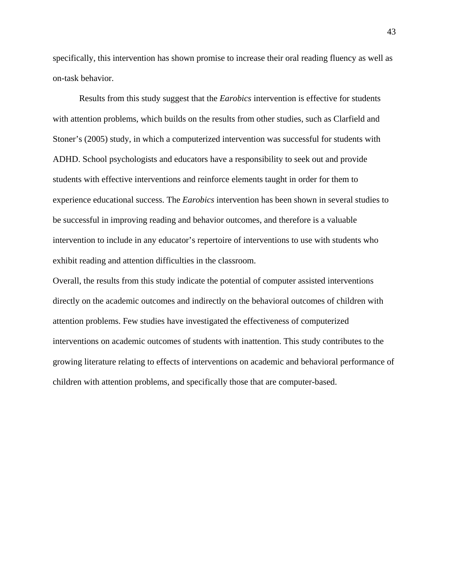specifically, this intervention has shown promise to increase their oral reading fluency as well as on-task behavior.

Results from this study suggest that the *Earobics* intervention is effective for students with attention problems, which builds on the results from other studies, such as Clarfield and Stoner's (2005) study, in which a computerized intervention was successful for students with ADHD. School psychologists and educators have a responsibility to seek out and provide students with effective interventions and reinforce elements taught in order for them to experience educational success. The *Earobics* intervention has been shown in several studies to be successful in improving reading and behavior outcomes, and therefore is a valuable intervention to include in any educator's repertoire of interventions to use with students who exhibit reading and attention difficulties in the classroom.

Overall, the results from this study indicate the potential of computer assisted interventions directly on the academic outcomes and indirectly on the behavioral outcomes of children with attention problems. Few studies have investigated the effectiveness of computerized interventions on academic outcomes of students with inattention. This study contributes to the growing literature relating to effects of interventions on academic and behavioral performance of children with attention problems, and specifically those that are computer-based.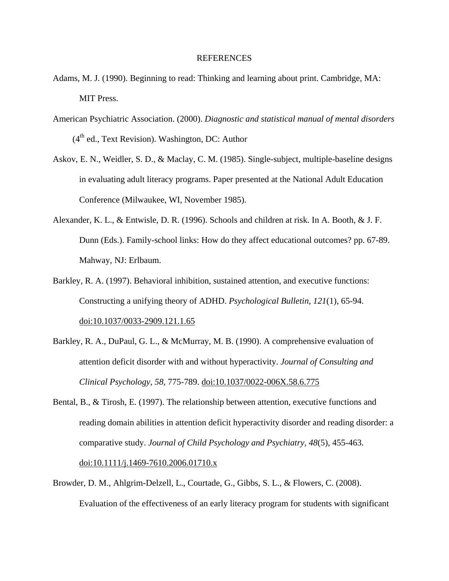#### REFERENCES

- Adams, M. J. (1990). Beginning to read: Thinking and learning about print. Cambridge, MA: MIT Press.
- American Psychiatric Association. (2000). *Diagnostic and statistical manual of mental disorders*  $(4<sup>th</sup>$  ed., Text Revision). Washington, DC: Author
- Askov, E. N., Weidler, S. D., & Maclay, C. M. (1985). Single-subject, multiple-baseline designs in evaluating adult literacy programs. Paper presented at the National Adult Education Conference (Milwaukee, WI, November 1985).
- Alexander, K. L., & Entwisle, D. R. (1996). Schools and children at risk. In A. Booth, & J. F. Dunn (Eds.). Family-school links: How do they affect educational outcomes? pp. 67-89. Mahway, NJ: Erlbaum.
- Barkley, R. A. (1997). Behavioral inhibition, sustained attention, and executive functions: Constructing a unifying theory of ADHD. *Psychological Bulletin, 121*(1), 65-94. [doi:10.1037/0033-2909.121.1.65](http://dx.doi.org/10.1037/0033-2909.121.1.65%20/%20_blank)
- Barkley, R. A., DuPaul, G. L., & McMurray, M. B. (1990). A comprehensive evaluation of attention deficit disorder with and without hyperactivity. *Journal of Consulting and Clinical Psychology*, *58*, 775-789. [doi:10.1037/0022-006X.58.6.775](http://dx.doi.org/10.1037/0022-006X.58.6.775%20/%20_blank)
- Bental, B., & Tirosh, E. (1997). The relationship between attention, executive functions and reading domain abilities in attention deficit hyperactivity disorder and reading disorder: a comparative study. *Journal of Child Psychology and Psychiatry, 48*(5), 455-463. [doi:10.1111/j.1469-7610.2006.01710.x](http://dx.doi.org/10.1111/j.1469-7610.2006.01710.x%20/%20_blank)
- Browder, D. M., Ahlgrim-Delzell, L., Courtade, G., Gibbs, S. L., & Flowers, C. (2008). Evaluation of the effectiveness of an early literacy program for students with significant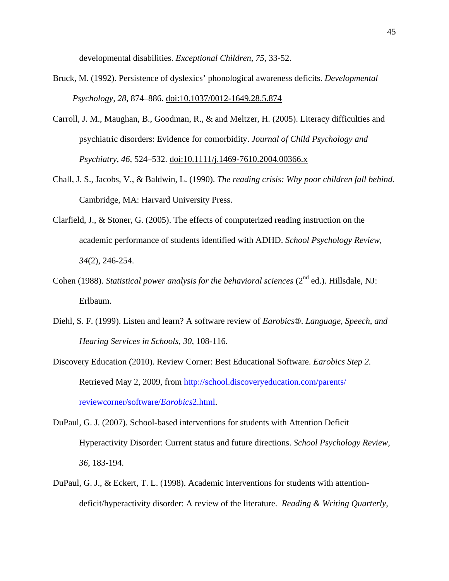developmental disabilities. *Exceptional Children, 75*, 33-52.

- Bruck, M. (1992). Persistence of dyslexics' phonological awareness deficits. *Developmental Psychology, 28*, 874–886. [doi:10.1037/0012-1649.28.5.874](http://dx.doi.org/10.1037/0012-1649.28.5.874%20/%20_blank)
- Carroll, J. M., Maughan, B., Goodman, R., & and Meltzer, H. (2005). Literacy difficulties and psychiatric disorders: Evidence for comorbidity. *Journal of Child Psychology and Psychiatry, 46,* 524–532. [doi:10.1111/j.1469-7610.2004.00366.x](http://dx.doi.org/10.1111/j.1469-7610.2004.00366.x%20/%20_blank)
- Chall, J. S., Jacobs, V., & Baldwin, L. (1990). *The reading crisis: Why poor children fall behind.* Cambridge, MA: Harvard University Press.
- Clarfield, J., & Stoner, G. (2005). The effects of computerized reading instruction on the academic performance of students identified with ADHD. *School Psychology Review, 34*(2), 246-254.
- Cohen (1988). *Statistical power analysis for the behavioral sciences* (2<sup>nd</sup> ed.). Hillsdale, NJ: Erlbaum.
- Diehl, S. F. (1999). Listen and learn? A software review of *Earobics*®. *Language, Speech, and Hearing Services in Schools*, *30*, 108-116.
- Discovery Education (2010). Review Corner: Best Educational Software. *Earobics Step 2.* Retrieved May 2, 2009, from http://school.discoveryeducation.com/parents/ [reviewcorner/software/](http://school.discoveryeducation.com/parents/%20reviewcorner/software/Earobics2.html)*Earobics*2.html.
- DuPaul, G. J. (2007). School-based interventions for students with Attention Deficit Hyperactivity Disorder: Current status and future directions. *School Psychology Review, 36*, 183-194.
- DuPaul, G. J., & Eckert, T. L. (1998). Academic interventions for students with attentiondeficit/hyperactivity disorder: A review of the literature. *Reading & Writing Quarterly,*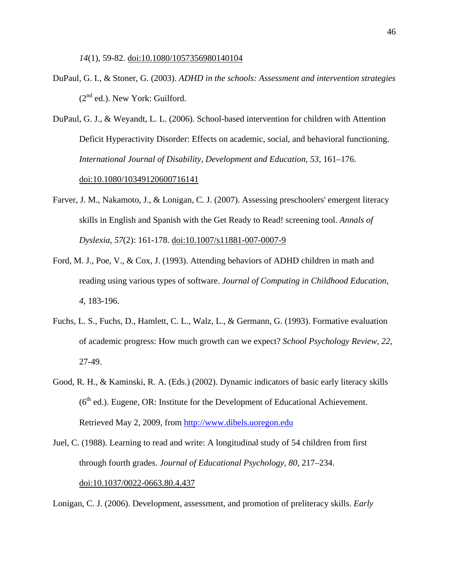*14*(1), 59-82. [doi:10.1080/1057356980140104](http://dx.doi.org/10.1080/1057356980140104%20/%20_blank)

- DuPaul, G. I., & Stoner, G. (2003). *ADHD in the schools: Assessment and intervention strategies*  $(2<sup>nd</sup>$  ed.). New York: Guilford.
- DuPaul, G. J., & Weyandt, L. L. (2006). School-based intervention for children with Attention Deficit Hyperactivity Disorder: Effects on academic, social, and behavioral functioning. *International Journal of Disability, Development and Education, 53,* 161–176. [doi:10.1080/10349120600716141](http://dx.doi.org/10.1080/10349120600716141%20/%20_blank)
- Farver, J. M., Nakamoto, J., & Lonigan, C. J. (2007). Assessing preschoolers' emergent literacy skills in English and Spanish with the Get Ready to Read! screening tool. *Annals of Dyslexia*, *57*(2): 161-178. [doi:10.1007/s11881-007-0007-9](http://dx.doi.org/10.1007/s11881-007-0007-9%20/%20_blank)
- Ford, M. J., Poe, V., & Cox, J. (1993). Attending behaviors of ADHD children in math and reading using various types of software. *Journal of Computing in Childhood Education, 4*, 183-196.
- Fuchs, L. S., Fuchs, D., Hamlett, C. L., Walz, L., & Germann, G. (1993). Formative evaluation of academic progress: How much growth can we expect? *School Psychology Review, 22*, 27-49.
- Good, R. H., & Kaminski, R. A. (Eds.) (2002). Dynamic indicators of basic early literacy skills  $(6<sup>th</sup>$  ed.). Eugene, OR: Institute for the Development of Educational Achievement. Retrieved May 2, 2009, from [http://www.dibels.uoregon.edu](http://www.dibels.uoregon.edu/)
- Juel, C. (1988). Learning to read and write: A longitudinal study of 54 children from first through fourth grades. *Journal of Educational Psychology, 80*, 217–234. [doi:10.1037/0022-0663.80.4.437](http://dx.doi.org/10.1037/0022-0663.80.4.437%20/%20_blank)

Lonigan, C. J. (2006). Development, assessment, and promotion of preliteracy skills. *Early*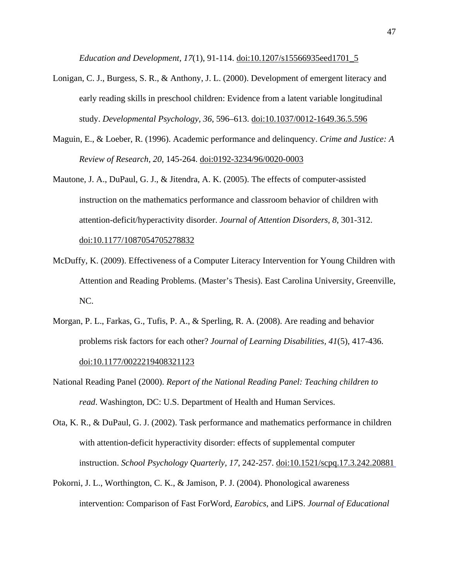*Education and Development, 17*(1), 91-114. [doi:10.1207/s15566935eed1701\\_5](http://dx.doi.org/10.1207/s15566935eed1701_5%20/%20_blank)

- Lonigan, C. J., Burgess, S. R., & Anthony, J. L. (2000). Development of emergent literacy and early reading skills in preschool children: Evidence from a latent variable longitudinal study. *Developmental Psychology, 36*, 596–613. [doi:10.1037/0012-1649.36.5.596](http://dx.doi.org/10.1037/0012-1649.36.5.596%20/%20_blank)
- Maguin, E., & Loeber, R. (1996). Academic performance and delinquency. *Crime and Justice: A Review of Research, 20,* 145-264. [doi:0192-3234/96/0020-0003](http://www.jstor.org/stable/1147645)
- Mautone, J. A., DuPaul, G. J., & Jitendra, A. K. (2005). The effects of computer-assisted instruction on the mathematics performance and classroom behavior of children with attention-deficit/hyperactivity disorder. *Journal of Attention Disorders, 8*, 301-312. [doi:10.1177/1087054705278832](http://dx.doi.org/10.1177/1087054705278832%20/%20_blank)
- McDuffy, K. (2009). Effectiveness of a Computer Literacy Intervention for Young Children with Attention and Reading Problems. (Master's Thesis). East Carolina University, Greenville, NC.
- Morgan, P. L., Farkas, G., Tufis, P. A., & Sperling, R. A. (2008). Are reading and behavior problems risk factors for each other? *Journal of Learning Disabilities, 41*(5), 417-436. [doi:10.1177/0022219408321123](http://dx.doi.org/10.1177/0022219408321123%20/%20_blank)
- National Reading Panel (2000). *Report of the National Reading Panel: Teaching children to read*. Washington, DC: U.S. Department of Health and Human Services.
- Ota, K. R., & DuPaul, G. J. (2002). Task performance and mathematics performance in children with attention-deficit hyperactivity disorder: effects of supplemental computer instruction. *School Psychology Quarterly, 17*, 242-257. [doi:10.1521/scpq.17.3.242.20881](http://jw3mh2cm6n.search.serialssolutions.com.jproxy.lib.ecu.edu/?sid=Elsevier:SD&genre=article&issn=10453830&date=2002&volume=17&issue=3&spage=242)
- Pokorni, J. L., Worthington, C. K., & Jamison, P. J. (2004). Phonological awareness intervention: Comparison of Fast ForWord, *Earobics*, and LiPS. *Journal of Educational*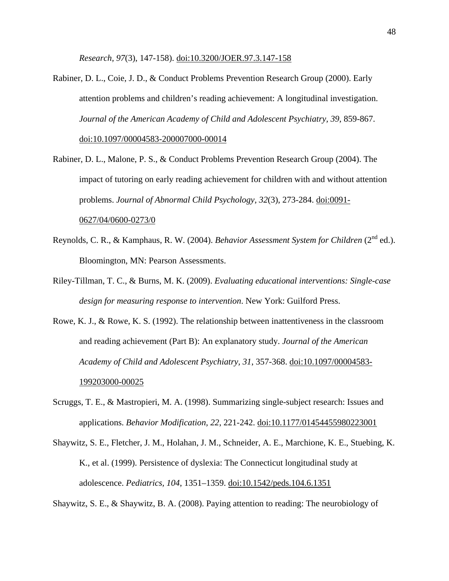*Research, 97*(3), 147-158). [doi:10.3200/JOER.97.3.147-158](http://dx.doi.org/10.3200/JOER.97.3.147-158%20/%20_blank)

- Rabiner, D. L., Coie, J. D., & Conduct Problems Prevention Research Group (2000). Early attention problems and children's reading achievement: A longitudinal investigation. *Journal of the American Academy of Child and Adolescent Psychiatry, 39*, 859-867. [doi:10.1097/00004583-200007000-00014](http://dx.doi.org.jproxy.lib.ecu.edu/10.1097/00004583-200007000-00014%20/%20doilink)
- Rabiner, D. L., Malone, P. S., & Conduct Problems Prevention Research Group (2004). The impact of tutoring on early reading achievement for children with and without attention problems. *Journal of Abnormal Child Psychology, 32*(3), 273-284. [doi:0091-](http://www.ncbi.nlm.nih.gov/pubmed/15228176) [0627/04/0600-0273/0](http://www.ncbi.nlm.nih.gov/pubmed/15228176)
- Reynolds, C. R., & Kamphaus, R. W. (2004). *Behavior Assessment System for Children* (2<sup>nd</sup> ed.). Bloomington, MN: Pearson Assessments.
- Riley-Tillman, T. C., & Burns, M. K. (2009). *Evaluating educational interventions: Single-case design for measuring response to intervention*. New York: Guilford Press.
- Rowe, K. J., & Rowe, K. S. (1992). The relationship between inattentiveness in the classroom and reading achievement (Part B): An explanatory study. *Journal of the American Academy of Child and Adolescent Psychiatry, 31*, 357-368. [doi:10.1097/00004583-](http://www.jaacap.com/article/S0890-8567(09)64461-0/abstract) [199203000-00025](http://www.jaacap.com/article/S0890-8567(09)64461-0/abstract)
- Scruggs, T. E., & Mastropieri, M. A. (1998). Summarizing single-subject research: Issues and applications. *Behavior Modification, 22*, 221-242. [doi:10.1177/01454455980223001](http://dx.doi.org/10.1177/01454455980223001%20/%20_blank)
- Shaywitz, S. E., Fletcher, J. M., Holahan, J. M., Schneider, A. E., Marchione, K. E., Stuebing, K. K., et al. (1999). Persistence of dyslexia: The Connecticut longitudinal study at adolescence. *Pediatrics, 104*, 1351–1359. [doi:10.1542/peds.104.6.1351](http://dx.doi.org/10.1542/peds.104.6.1351%20/%20_blank)

Shaywitz, S. E., & Shaywitz, B. A. (2008). Paying attention to reading: The neurobiology of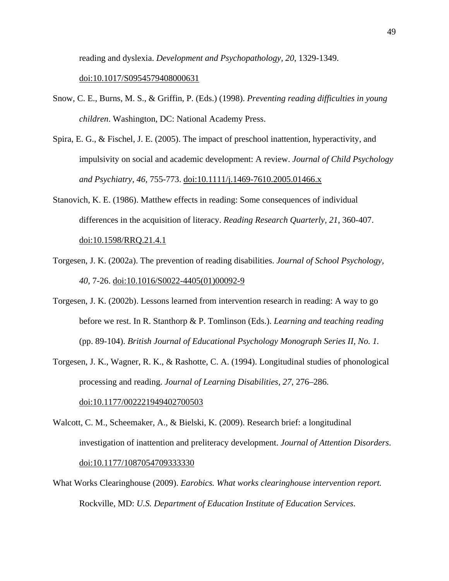reading and dyslexia. *Development and Psychopathology, 20*, 1329-1349.

#### [doi:10.1017/S0954579408000631](http://dx.doi.org/10.1017/S0954579408000631%20/%20_blank)

- Snow, C. E., Burns, M. S., & Griffin, P. (Eds.) (1998). *Preventing reading difficulties in young children*. Washington, DC: National Academy Press.
- Spira, E. G., & Fischel, J. E. (2005). The impact of preschool inattention, hyperactivity, and impulsivity on social and academic development: A review. *Journal of Child Psychology and Psychiatry, 46,* 755-773. [doi:10.1111/j.1469-7610.2005.01466.x](http://dx.doi.org/10.1111/j.1469-7610.2005.01466.x%20/%20_blank)
- Stanovich, K. E. (1986). Matthew effects in reading: Some consequences of individual differences in the acquisition of literacy. *Reading Research Quarterly, 21*, 360-407. [doi:10.1598/RRQ.21.4.1](http://dx.doi.org/10.1598/RRQ.21.4.1%20/%20_blank)
- Torgesen, J. K. (2002a). The prevention of reading disabilities. *Journal of School Psychology, 40*, 7-26. [doi:10.1016/S0022-4405\(01\)00092-9](http://dx.doi.org/10.1016/S0022-4405(01)00092-9%20/%20_blank)
- Torgesen, J. K. (2002b). Lessons learned from intervention research in reading: A way to go before we rest. In R. Stanthorp & P. Tomlinson (Eds.). *Learning and teaching reading*  (pp. 89-104). *British Journal of Educational Psychology Monograph Series II, No. 1.*
- Torgesen, J. K., Wagner, R. K., & Rashotte, C. A. (1994). Longitudinal studies of phonological processing and reading. *Journal of Learning Disabilities, 27*, 276–286.

[doi:10.1177/002221949402700503](http://dx.doi.org/10.1177/002221949402700503%20/%20_blank)

- Walcott, C. M., Scheemaker, A., & Bielski, K. (2009). Research brief: a longitudinal investigation of inattention and preliteracy development. *Journal of Attention Disorders*. [doi:10.1177/1087054709333330](http://dx.doi.org/10.1177/1087054709333330%20/%20_blank)
- What Works Clearinghouse (2009). *Earobics. What works clearinghouse intervention report.*  Rockville, MD: *U.S. Department of Education Institute of Education Services*.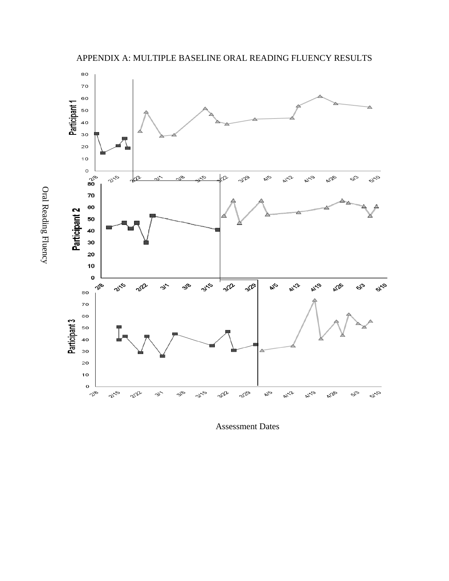

Oral Reading Fluency

Oral Reading Fluency

Assessment Dates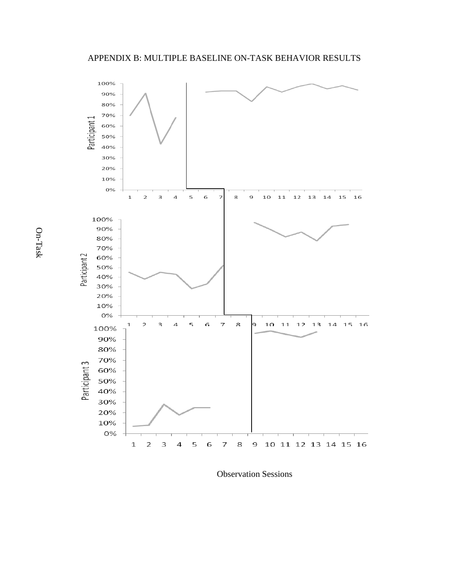

Observation Sessions

On-Task On-Task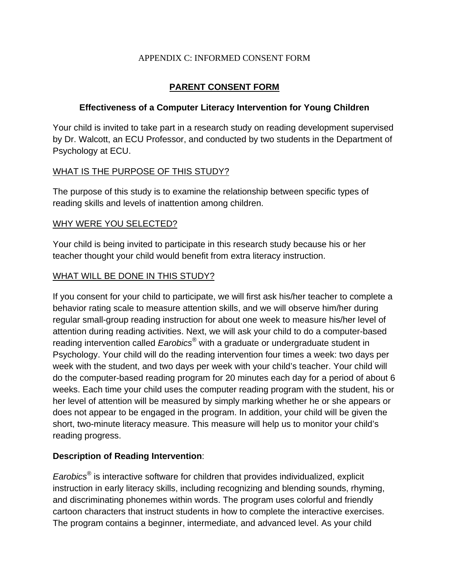### APPENDIX C: INFORMED CONSENT FORM

### **PARENT CONSENT FORM**

### **Effectiveness of a Computer Literacy Intervention for Young Children**

Your child is invited to take part in a research study on reading development supervised by Dr. Walcott, an ECU Professor, and conducted by two students in the Department of Psychology at ECU.

### WHAT IS THE PURPOSE OF THIS STUDY?

The purpose of this study is to examine the relationship between specific types of reading skills and levels of inattention among children.

### WHY WERE YOU SELECTED?

Your child is being invited to participate in this research study because his or her teacher thought your child would benefit from extra literacy instruction.

### WHAT WILL BE DONE IN THIS STUDY?

If you consent for your child to participate, we will first ask his/her teacher to complete a behavior rating scale to measure attention skills, and we will observe him/her during regular small-group reading instruction for about one week to measure his/her level of attention during reading activities. Next, we will ask your child to do a computer-based reading intervention called *Earobics®* with a graduate or undergraduate student in Psychology. Your child will do the reading intervention four times a week: two days per week with the student, and two days per week with your child's teacher. Your child will do the computer-based reading program for 20 minutes each day for a period of about 6 weeks. Each time your child uses the computer reading program with the student, his or her level of attention will be measured by simply marking whether he or she appears or does not appear to be engaged in the program. In addition, your child will be given the short, two-minute literacy measure. This measure will help us to monitor your child's reading progress.

### **Description of Reading Intervention**:

*Earobics®* is interactive software for children that provides individualized, explicit instruction in early literacy skills, including recognizing and blending sounds, rhyming, and discriminating phonemes within words. The program uses colorful and friendly cartoon characters that instruct students in how to complete the interactive exercises. The program contains a beginner, intermediate, and advanced level. As your child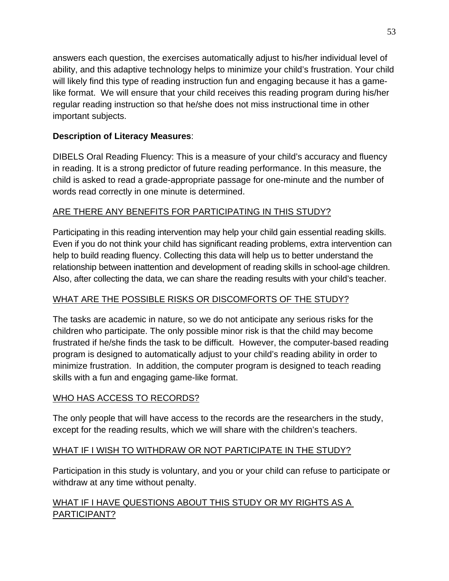answers each question, the exercises automatically adjust to his/her individual level of ability, and this adaptive technology helps to minimize your child's frustration. Your child will likely find this type of reading instruction fun and engaging because it has a gamelike format. We will ensure that your child receives this reading program during his/her regular reading instruction so that he/she does not miss instructional time in other important subjects.

## **Description of Literacy Measures**:

DIBELS Oral Reading Fluency: This is a measure of your child's accuracy and fluency in reading. It is a strong predictor of future reading performance. In this measure, the child is asked to read a grade-appropriate passage for one-minute and the number of words read correctly in one minute is determined.

# ARE THERE ANY BENEFITS FOR PARTICIPATING IN THIS STUDY?

Participating in this reading intervention may help your child gain essential reading skills. Even if you do not think your child has significant reading problems, extra intervention can help to build reading fluency. Collecting this data will help us to better understand the relationship between inattention and development of reading skills in school-age children. Also, after collecting the data, we can share the reading results with your child's teacher.

# WHAT ARE THE POSSIBLE RISKS OR DISCOMFORTS OF THE STUDY?

The tasks are academic in nature, so we do not anticipate any serious risks for the children who participate. The only possible minor risk is that the child may become frustrated if he/she finds the task to be difficult. However, the computer-based reading program is designed to automatically adjust to your child's reading ability in order to minimize frustration. In addition, the computer program is designed to teach reading skills with a fun and engaging game-like format.

## WHO HAS ACCESS TO RECORDS?

The only people that will have access to the records are the researchers in the study, except for the reading results, which we will share with the children's teachers.

## WHAT IF I WISH TO WITHDRAW OR NOT PARTICIPATE IN THE STUDY?

Participation in this study is voluntary, and you or your child can refuse to participate or withdraw at any time without penalty.

## WHAT IF I HAVE QUESTIONS ABOUT THIS STUDY OR MY RIGHTS AS A PARTICIPANT?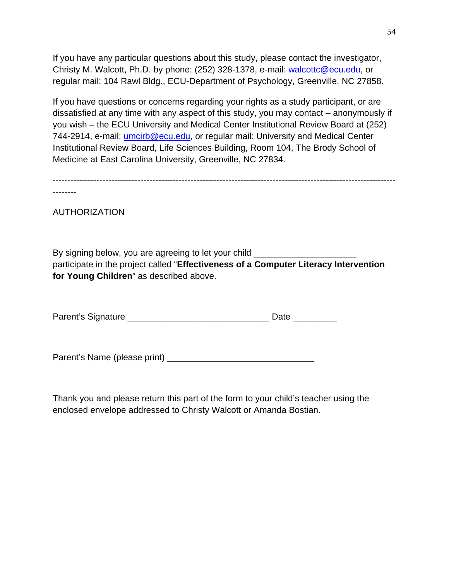If you have any particular questions about this study, please contact the investigator, Christy M. Walcott, Ph.D. by phone: (252) 328-1378, e-mail: [walcottc@ecu.edu,](mailto:walcottc@ecu.edu) or regular mail: 104 Rawl Bldg., ECU-Department of Psychology, Greenville, NC 27858.

If you have questions or concerns regarding your rights as a study participant, or are dissatisfied at any time with any aspect of this study, you may contact – anonymously if you wish – the ECU University and Medical Center Institutional Review Board at (252) 744-2914, e-mail: [umcirb@ecu.edu,](mailto:umcirb@ecu.edu) or regular mail: University and Medical Center Institutional Review Board, Life Sciences Building, Room 104, The Brody School of Medicine at East Carolina University, Greenville, NC 27834.

--------------------------------------------------------------------------------------------------------------------- --------

AUTHORIZATION

By signing below, you are agreeing to let your child \_\_\_\_\_\_\_\_\_\_\_\_\_\_\_\_\_\_\_\_\_\_\_\_\_\_\_ participate in the project called "**Effectiveness of a Computer Literacy Intervention for Young Children**" as described above.

Parent's Signature **Example 20** and 20 and 20 and 20 and 20 and 20 and 20 and 20 and 20 and 20 and 20 and 20 and 20 and 20 and 20 and 20 and 20 and 20 and 20 and 20 and 20 and 20 and 20 and 20 and 20 and 20 and 20 and 20 a

Parent's Name (please print) \_\_\_\_\_\_\_\_\_\_\_\_\_\_\_\_\_\_\_\_\_\_\_\_\_\_\_\_\_\_

Thank you and please return this part of the form to your child's teacher using the enclosed envelope addressed to Christy Walcott or Amanda Bostian.